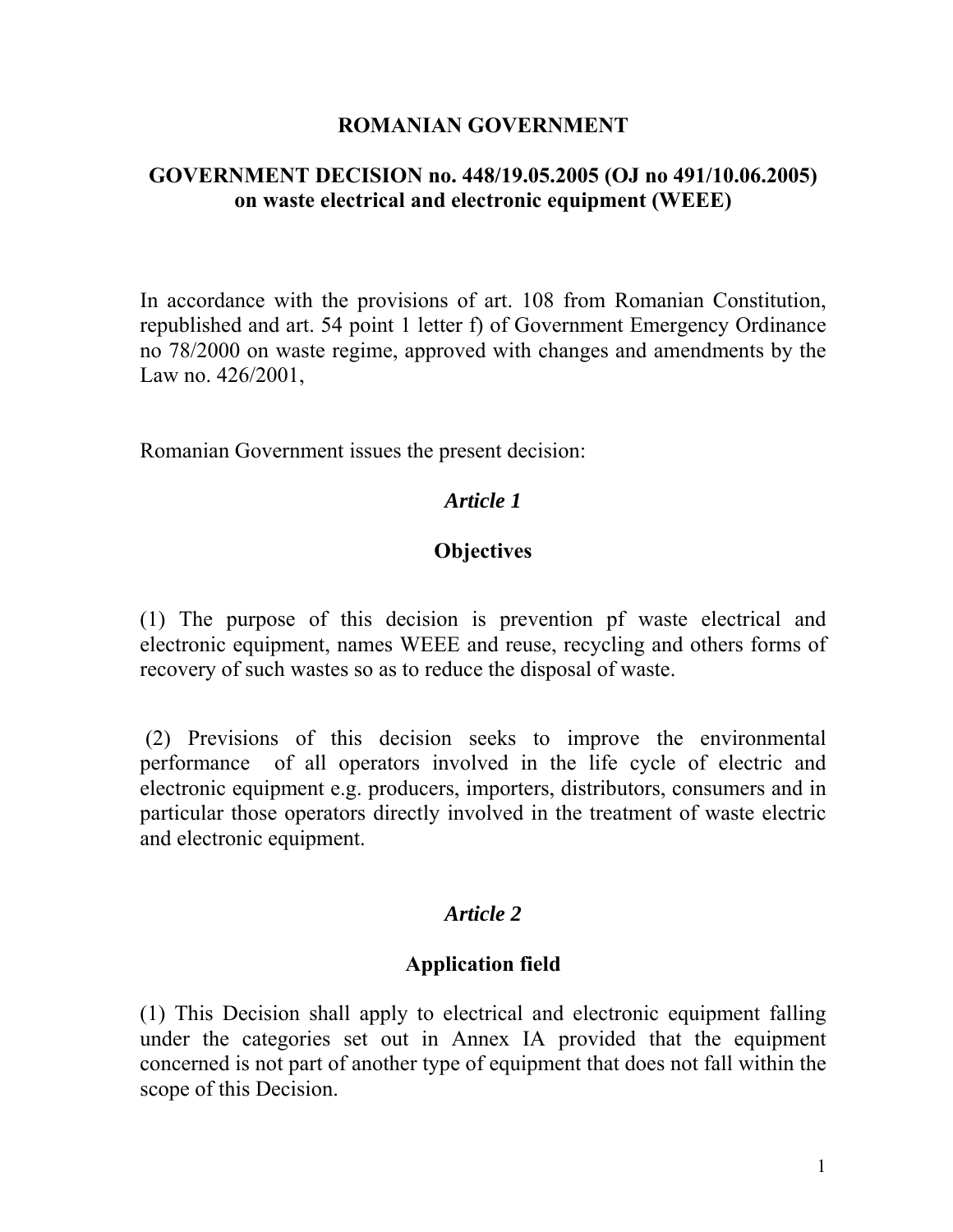#### **ROMANIAN GOVERNMENT**

### **GOVERNMENT DECISION no. 448/19.05.2005 (OJ no 491/10.06.2005) on waste electrical and electronic equipment (WEEE)**

In accordance with the provisions of art. 108 from Romanian Constitution, republished and art. 54 point 1 letter f) of Government Emergency Ordinance no 78/2000 on waste regime, approved with changes and amendments by the Law no. 426/2001,

Romanian Government issues the present decision:

### *Article 1*

#### **Objectives**

(1) The purpose of this decision is prevention pf waste electrical and electronic equipment, names WEEE and reuse, recycling and others forms of recovery of such wastes so as to reduce the disposal of waste.

 (2) Previsions of this decision seeks to improve the environmental performance of all operators involved in the life cycle of electric and electronic equipment e.g. producers, importers, distributors, consumers and in particular those operators directly involved in the treatment of waste electric and electronic equipment.

### *Article 2*

#### **Application field**

(1) This Decision shall apply to electrical and electronic equipment falling under the categories set out in Annex IA provided that the equipment concerned is not part of another type of equipment that does not fall within the scope of this Decision.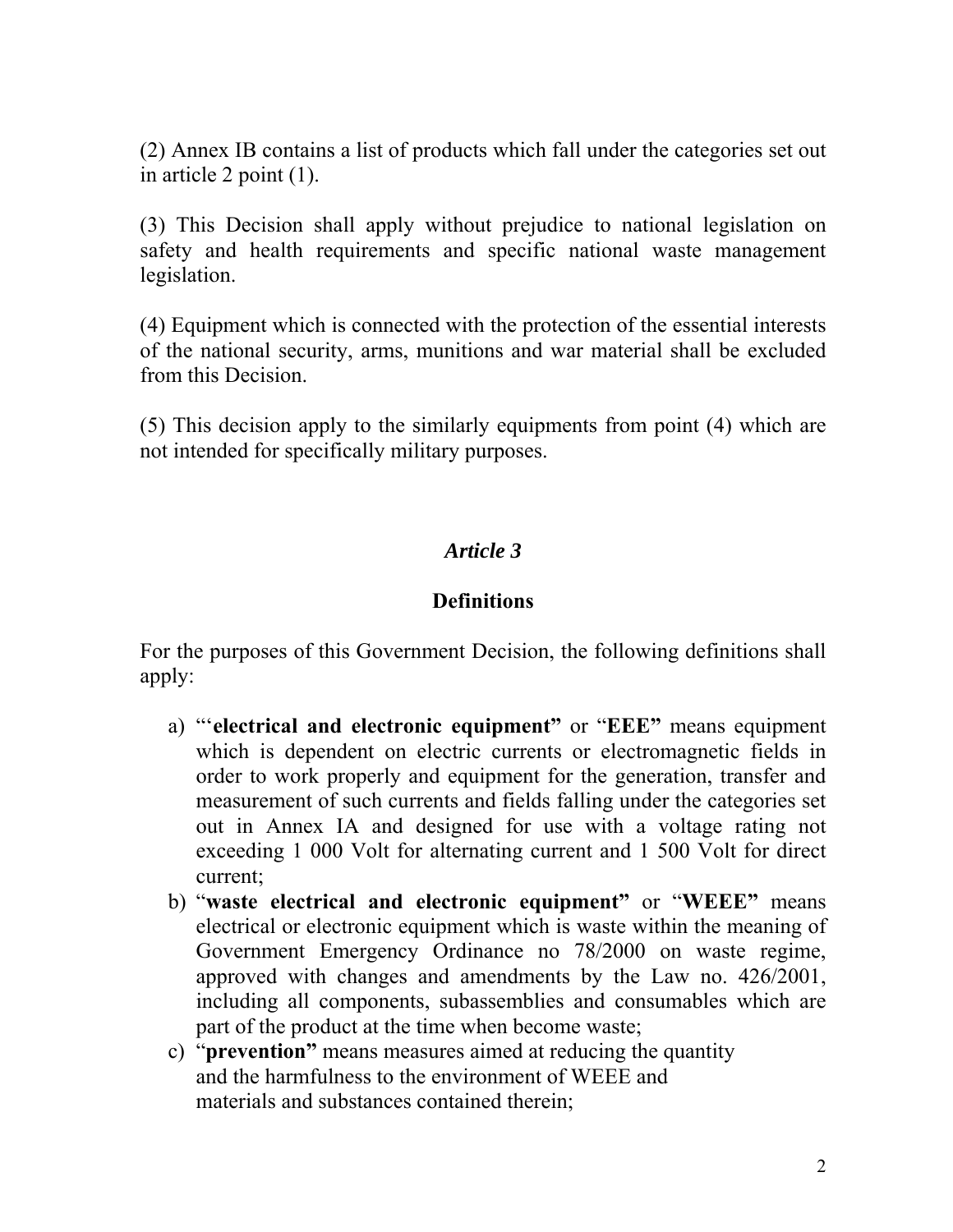(2) Annex IB contains a list of products which fall under the categories set out in article 2 point (1).

(3) This Decision shall apply without prejudice to national legislation on safety and health requirements and specific national waste management legislation.

(4) Equipment which is connected with the protection of the essential interests of the national security, arms, munitions and war material shall be excluded from this Decision.

(5) This decision apply to the similarly equipments from point (4) which are not intended for specifically military purposes.

### *Article 3*

### **Definitions**

For the purposes of this Government Decision, the following definitions shall apply:

- a) "'**electrical and electronic equipment"** or "**EEE"** means equipment which is dependent on electric currents or electromagnetic fields in order to work properly and equipment for the generation, transfer and measurement of such currents and fields falling under the categories set out in Annex IA and designed for use with a voltage rating not exceeding 1 000 Volt for alternating current and 1 500 Volt for direct current;
- b) "**waste electrical and electronic equipment"** or "**WEEE"** means electrical or electronic equipment which is waste within the meaning of Government Emergency Ordinance no 78/2000 on waste regime, approved with changes and amendments by the Law no. 426/2001, including all components, subassemblies and consumables which are part of the product at the time when become waste;
- c) "**prevention"** means measures aimed at reducing the quantity and the harmfulness to the environment of WEEE and materials and substances contained therein;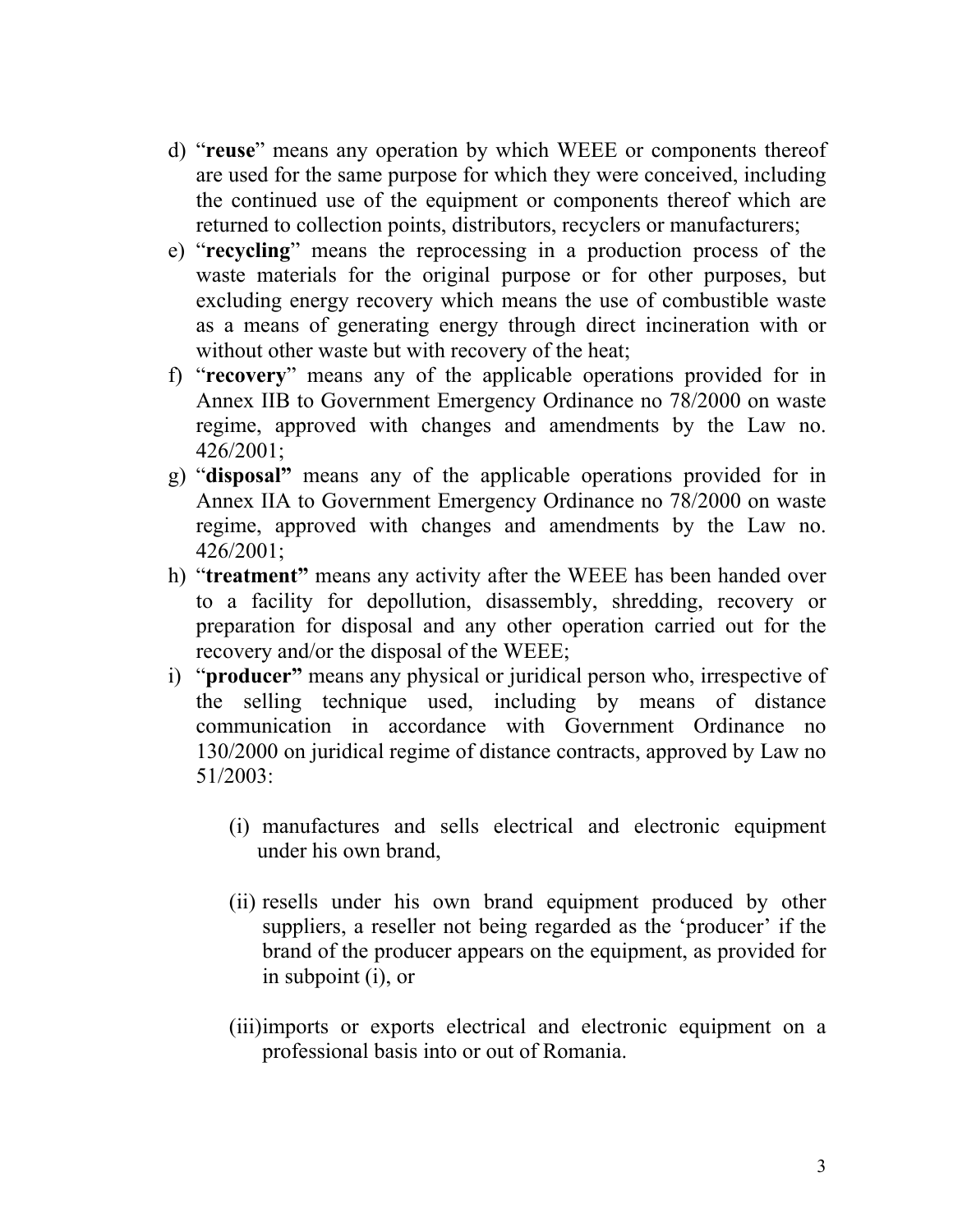- d) "**reuse**" means any operation by which WEEE or components thereof are used for the same purpose for which they were conceived, including the continued use of the equipment or components thereof which are returned to collection points, distributors, recyclers or manufacturers;
- e) "**recycling**" means the reprocessing in a production process of the waste materials for the original purpose or for other purposes, but excluding energy recovery which means the use of combustible waste as a means of generating energy through direct incineration with or without other waste but with recovery of the heat;
- f) "**recovery**" means any of the applicable operations provided for in Annex IIB to Government Emergency Ordinance no 78/2000 on waste regime, approved with changes and amendments by the Law no. 426/2001;
- g) "**disposal"** means any of the applicable operations provided for in Annex IIA to Government Emergency Ordinance no 78/2000 on waste regime, approved with changes and amendments by the Law no. 426/2001;
- h) "**treatment"** means any activity after the WEEE has been handed over to a facility for depollution, disassembly, shredding, recovery or preparation for disposal and any other operation carried out for the recovery and/or the disposal of the WEEE;
- i) "**producer"** means any physical or juridical person who, irrespective of the selling technique used, including by means of distance communication in accordance with Government Ordinance no 130/2000 on juridical regime of distance contracts, approved by Law no 51/2003:
	- (i) manufactures and sells electrical and electronic equipment under his own brand,
	- (ii) resells under his own brand equipment produced by other suppliers, a reseller not being regarded as the 'producer' if the brand of the producer appears on the equipment, as provided for in subpoint (i), or
	- (iii)imports or exports electrical and electronic equipment on a professional basis into or out of Romania.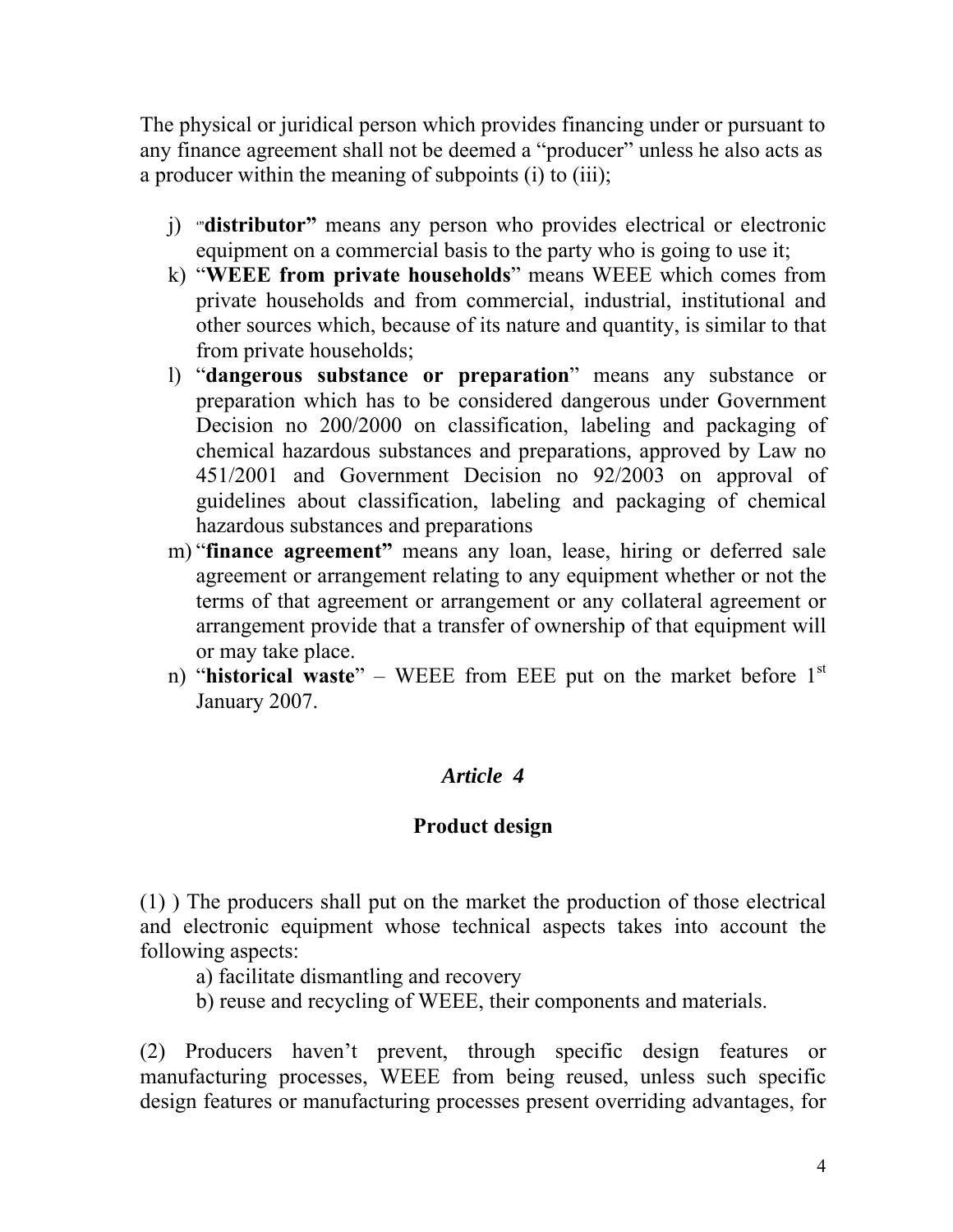The physical or juridical person which provides financing under or pursuant to any finance agreement shall not be deemed a "producer" unless he also acts as a producer within the meaning of subpoints (i) to (iii);

- j) '"**distributor"** means any person who provides electrical or electronic equipment on a commercial basis to the party who is going to use it;
- k) "**WEEE from private households**" means WEEE which comes from private households and from commercial, industrial, institutional and other sources which, because of its nature and quantity, is similar to that from private households;
- l) "**dangerous substance or preparation**" means any substance or preparation which has to be considered dangerous under Government Decision no 200/2000 on classification, labeling and packaging of chemical hazardous substances and preparations, approved by Law no 451/2001 and Government Decision no 92/2003 on approval of guidelines about classification, labeling and packaging of chemical hazardous substances and preparations
- m) "**finance agreement"** means any loan, lease, hiring or deferred sale agreement or arrangement relating to any equipment whether or not the terms of that agreement or arrangement or any collateral agreement or arrangement provide that a transfer of ownership of that equipment will or may take place.
- n) "**historical waste**" WEEE from EEE put on the market before 1<sup>st</sup> January 2007.

# *Article 4*

### **Product design**

(1) ) The producers shall put on the market the production of those electrical and electronic equipment whose technical aspects takes into account the following aspects:

- a) facilitate dismantling and recovery
- b) reuse and recycling of WEEE, their components and materials.

(2) Producers haven't prevent, through specific design features or manufacturing processes, WEEE from being reused, unless such specific design features or manufacturing processes present overriding advantages, for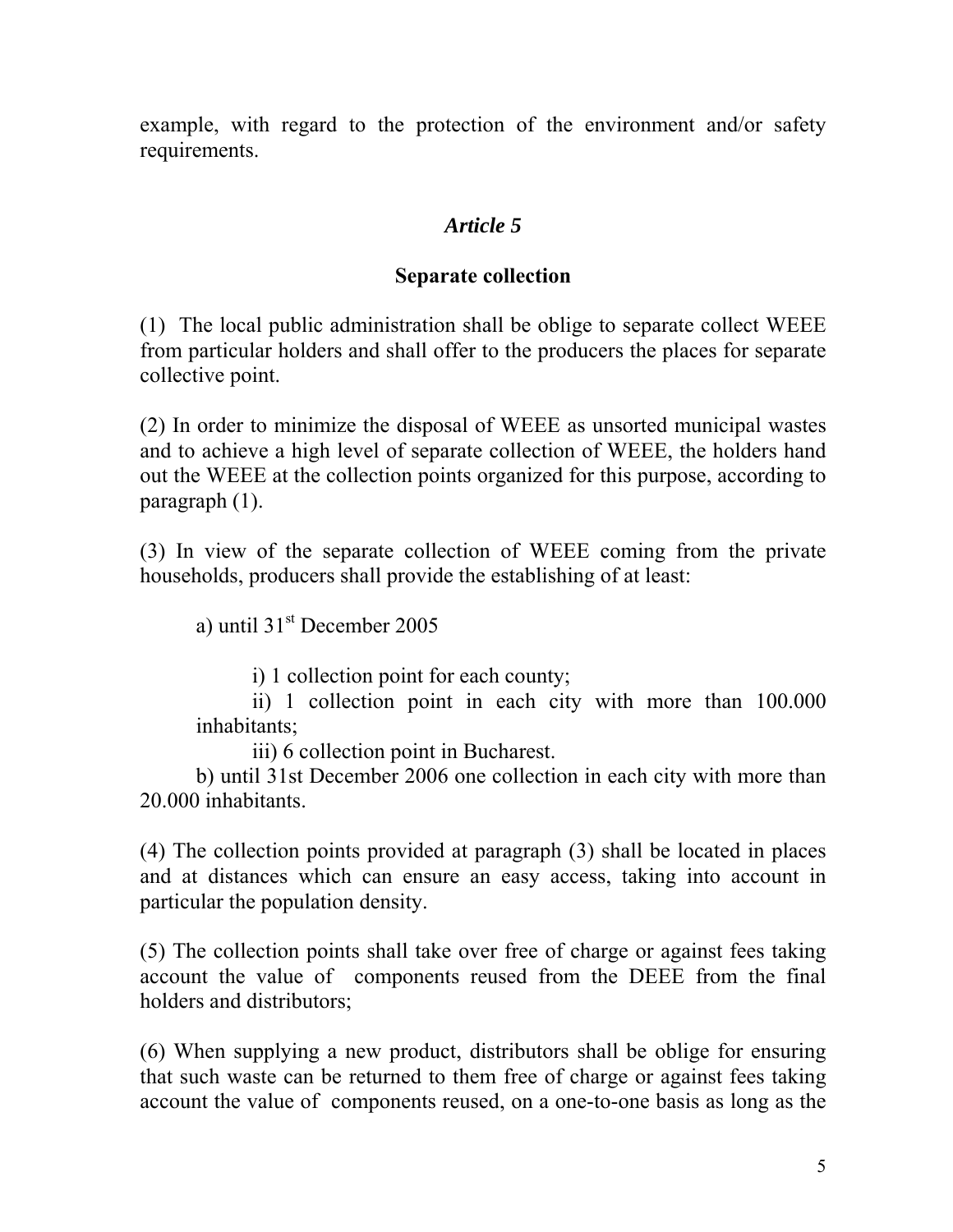example, with regard to the protection of the environment and/or safety requirements.

## *Article 5*

### **Separate collection**

(1) The local public administration shall be oblige to separate collect WEEE from particular holders and shall offer to the producers the places for separate collective point.

(2) In order to minimize the disposal of WEEE as unsorted municipal wastes and to achieve a high level of separate collection of WEEE, the holders hand out the WEEE at the collection points organized for this purpose, according to paragraph (1).

(3) In view of the separate collection of WEEE coming from the private households, producers shall provide the establishing of at least:

a) until  $31<sup>st</sup>$  December 2005

i) 1 collection point for each county;

ii) 1 collection point in each city with more than 100.000 inhabitants;

iii) 6 collection point in Bucharest.

 b) until 31st December 2006 one collection in each city with more than 20.000 inhabitants.

(4) The collection points provided at paragraph (3) shall be located in places and at distances which can ensure an easy access, taking into account in particular the population density.

(5) The collection points shall take over free of charge or against fees taking account the value of components reused from the DEEE from the final holders and distributors;

(6) When supplying a new product, distributors shall be oblige for ensuring that such waste can be returned to them free of charge or against fees taking account the value of components reused, on a one-to-one basis as long as the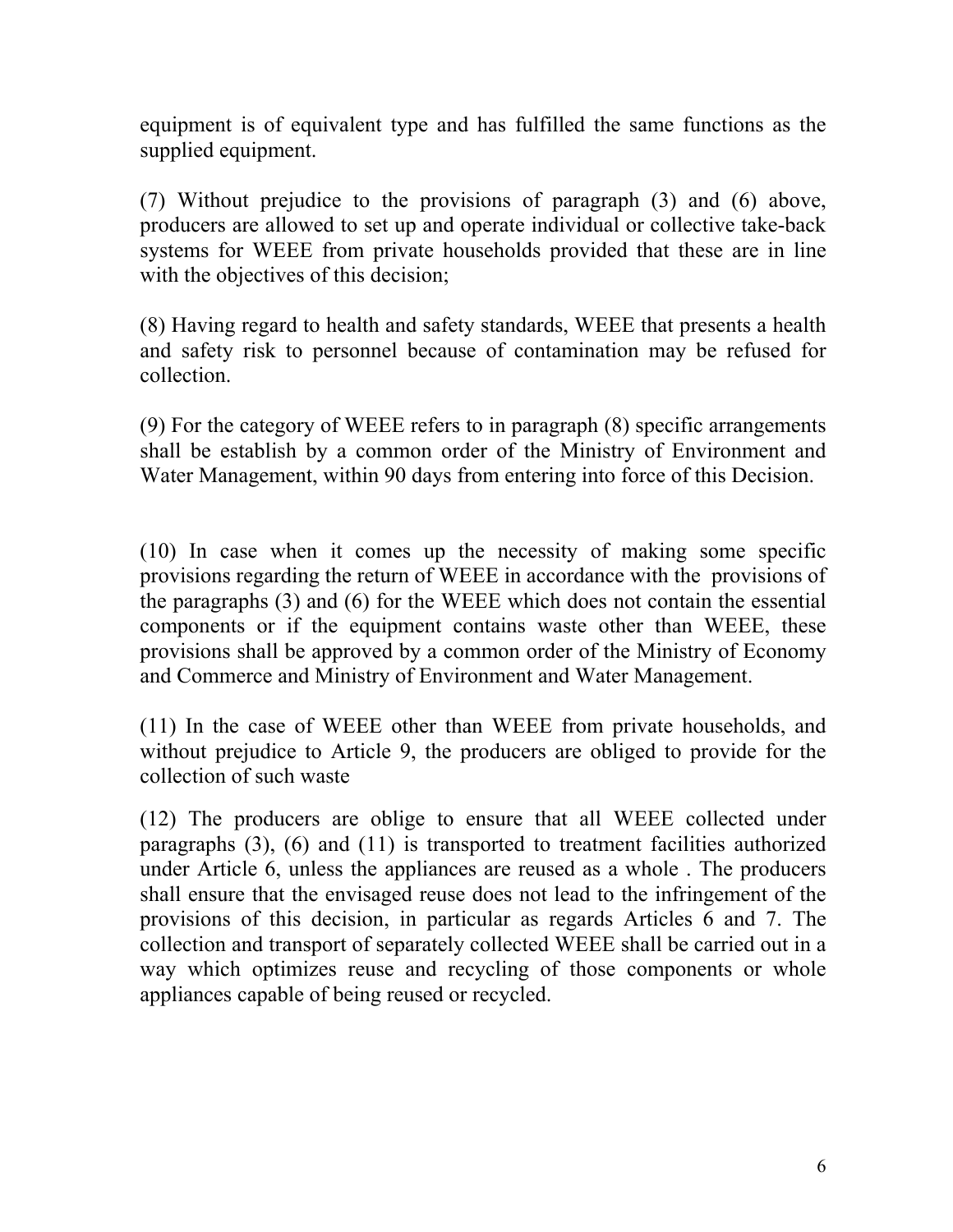equipment is of equivalent type and has fulfilled the same functions as the supplied equipment.

(7) Without prejudice to the provisions of paragraph (3) and (6) above, producers are allowed to set up and operate individual or collective take-back systems for WEEE from private households provided that these are in line with the objectives of this decision;

(8) Having regard to health and safety standards, WEEE that presents a health and safety risk to personnel because of contamination may be refused for collection.

(9) For the category of WEEE refers to in paragraph (8) specific arrangements shall be establish by a common order of the Ministry of Environment and Water Management, within 90 days from entering into force of this Decision.

(10) In case when it comes up the necessity of making some specific provisions regarding the return of WEEE in accordance with the provisions of the paragraphs (3) and (6) for the WEEE which does not contain the essential components or if the equipment contains waste other than WEEE, these provisions shall be approved by a common order of the Ministry of Economy and Commerce and Ministry of Environment and Water Management.

(11) In the case of WEEE other than WEEE from private households, and without prejudice to Article 9, the producers are obliged to provide for the collection of such waste

(12) The producers are oblige to ensure that all WEEE collected under paragraphs (3), (6) and (11) is transported to treatment facilities authorized under Article 6, unless the appliances are reused as a whole . The producers shall ensure that the envisaged reuse does not lead to the infringement of the provisions of this decision, in particular as regards Articles 6 and 7. The collection and transport of separately collected WEEE shall be carried out in a way which optimizes reuse and recycling of those components or whole appliances capable of being reused or recycled.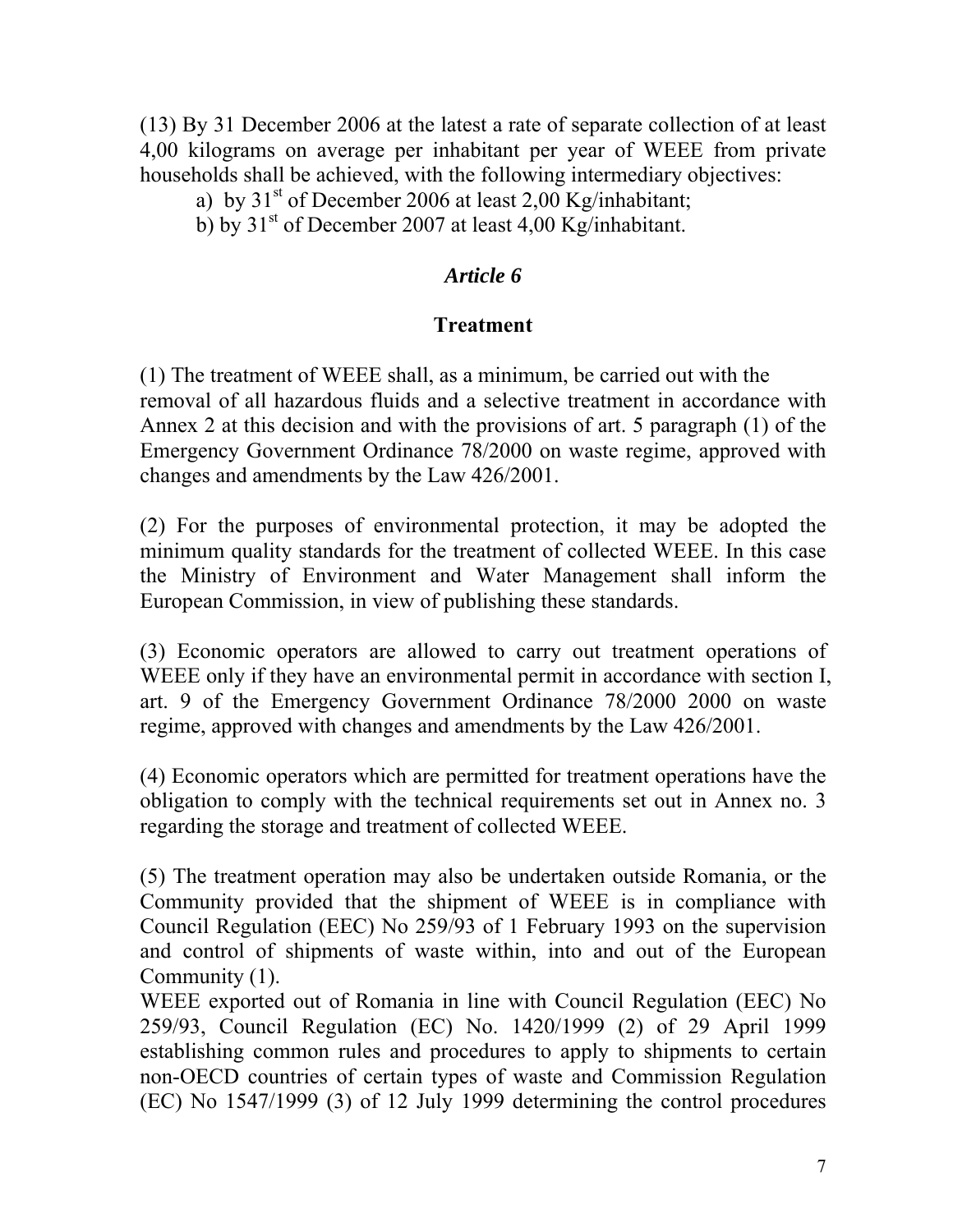(13) By 31 December 2006 at the latest a rate of separate collection of at least 4,00 kilograms on average per inhabitant per year of WEEE from private households shall be achieved, with the following intermediary objectives:

a) by  $31<sup>st</sup>$  of December 2006 at least 2,00 Kg/inhabitant;

b) by  $31<sup>st</sup>$  of December 2007 at least 4,00 Kg/inhabitant.

### *Article 6*

### **Treatment**

(1) The treatment of WEEE shall, as a minimum, be carried out with the removal of all hazardous fluids and a selective treatment in accordance with Annex 2 at this decision and with the provisions of art. 5 paragraph (1) of the Emergency Government Ordinance 78/2000 on waste regime, approved with changes and amendments by the Law 426/2001.

(2) For the purposes of environmental protection, it may be adopted the minimum quality standards for the treatment of collected WEEE. In this case the Ministry of Environment and Water Management shall inform the European Commission, in view of publishing these standards.

(3) Economic operators are allowed to carry out treatment operations of WEEE only if they have an environmental permit in accordance with section I, art. 9 of the Emergency Government Ordinance 78/2000 2000 on waste regime, approved with changes and amendments by the Law 426/2001.

(4) Economic operators which are permitted for treatment operations have the obligation to comply with the technical requirements set out in Annex no. 3 regarding the storage and treatment of collected WEEE.

(5) The treatment operation may also be undertaken outside Romania, or the Community provided that the shipment of WEEE is in compliance with Council Regulation (EEC) No 259/93 of 1 February 1993 on the supervision and control of shipments of waste within, into and out of the European Community (1).

WEEE exported out of Romania in line with Council Regulation (EEC) No 259/93, Council Regulation (EC) No. 1420/1999 (2) of 29 April 1999 establishing common rules and procedures to apply to shipments to certain non-OECD countries of certain types of waste and Commission Regulation (EC) No 1547/1999 (3) of 12 July 1999 determining the control procedures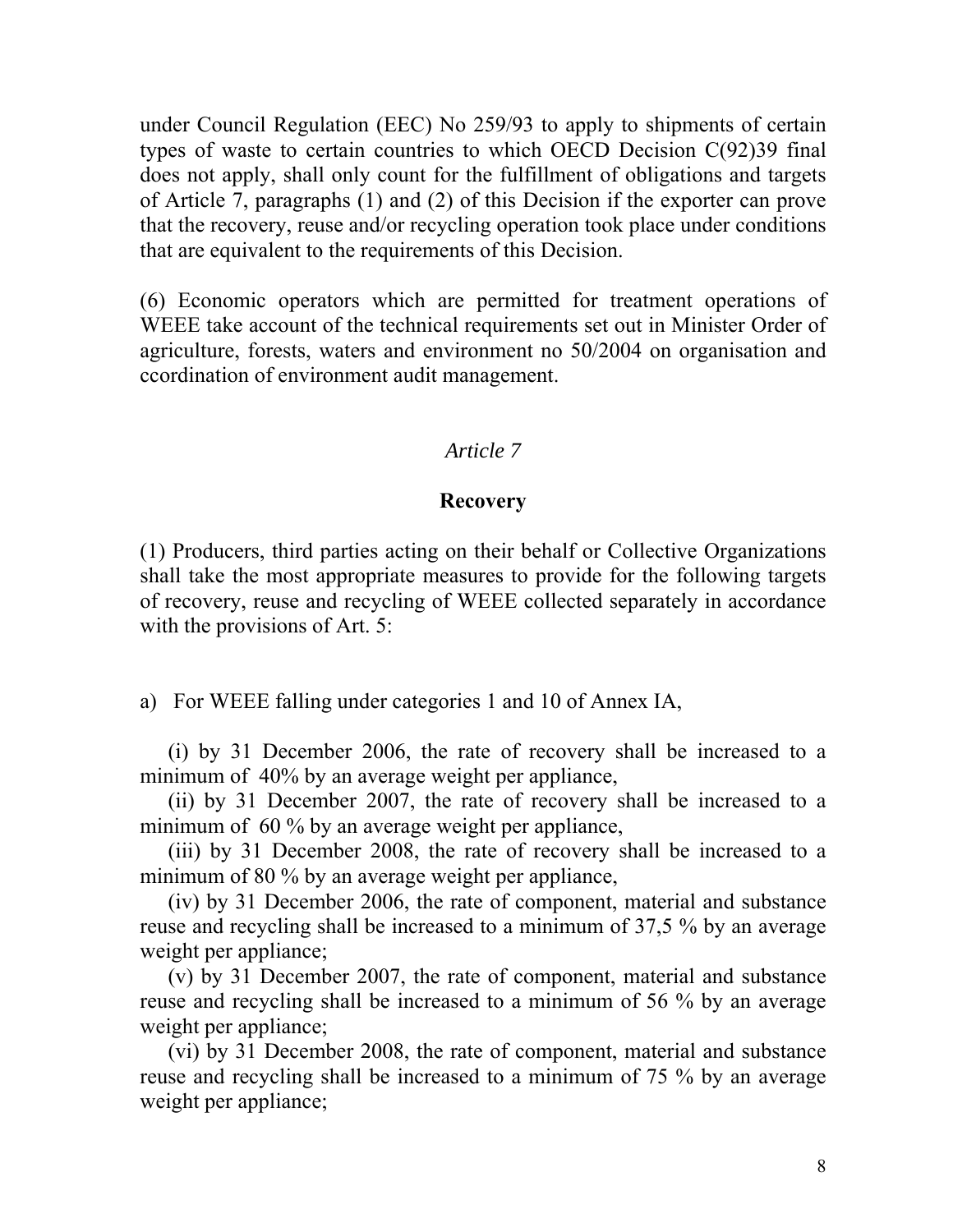under Council Regulation (EEC) No 259/93 to apply to shipments of certain types of waste to certain countries to which OECD Decision C(92)39 final does not apply, shall only count for the fulfillment of obligations and targets of Article 7, paragraphs (1) and (2) of this Decision if the exporter can prove that the recovery, reuse and/or recycling operation took place under conditions that are equivalent to the requirements of this Decision.

(6) Economic operators which are permitted for treatment operations of WEEE take account of the technical requirements set out in Minister Order of agriculture, forests, waters and environment no 50/2004 on organisation and ccordination of environment audit management.

#### *Article 7*

#### **Recovery**

(1) Producers, third parties acting on their behalf or Collective Organizations shall take the most appropriate measures to provide for the following targets of recovery, reuse and recycling of WEEE collected separately in accordance with the provisions of Art. 5:

a) For WEEE falling under categories 1 and 10 of Annex IA,

(i) by 31 December 2006, the rate of recovery shall be increased to a minimum of 40% by an average weight per appliance,

(ii) by 31 December 2007, the rate of recovery shall be increased to a minimum of 60 % by an average weight per appliance,

(iii) by 31 December 2008, the rate of recovery shall be increased to a minimum of 80 % by an average weight per appliance,

(iv) by 31 December 2006, the rate of component, material and substance reuse and recycling shall be increased to a minimum of 37,5 % by an average weight per appliance;

(v) by 31 December 2007, the rate of component, material and substance reuse and recycling shall be increased to a minimum of 56 % by an average weight per appliance;

(vi) by 31 December 2008, the rate of component, material and substance reuse and recycling shall be increased to a minimum of 75 % by an average weight per appliance;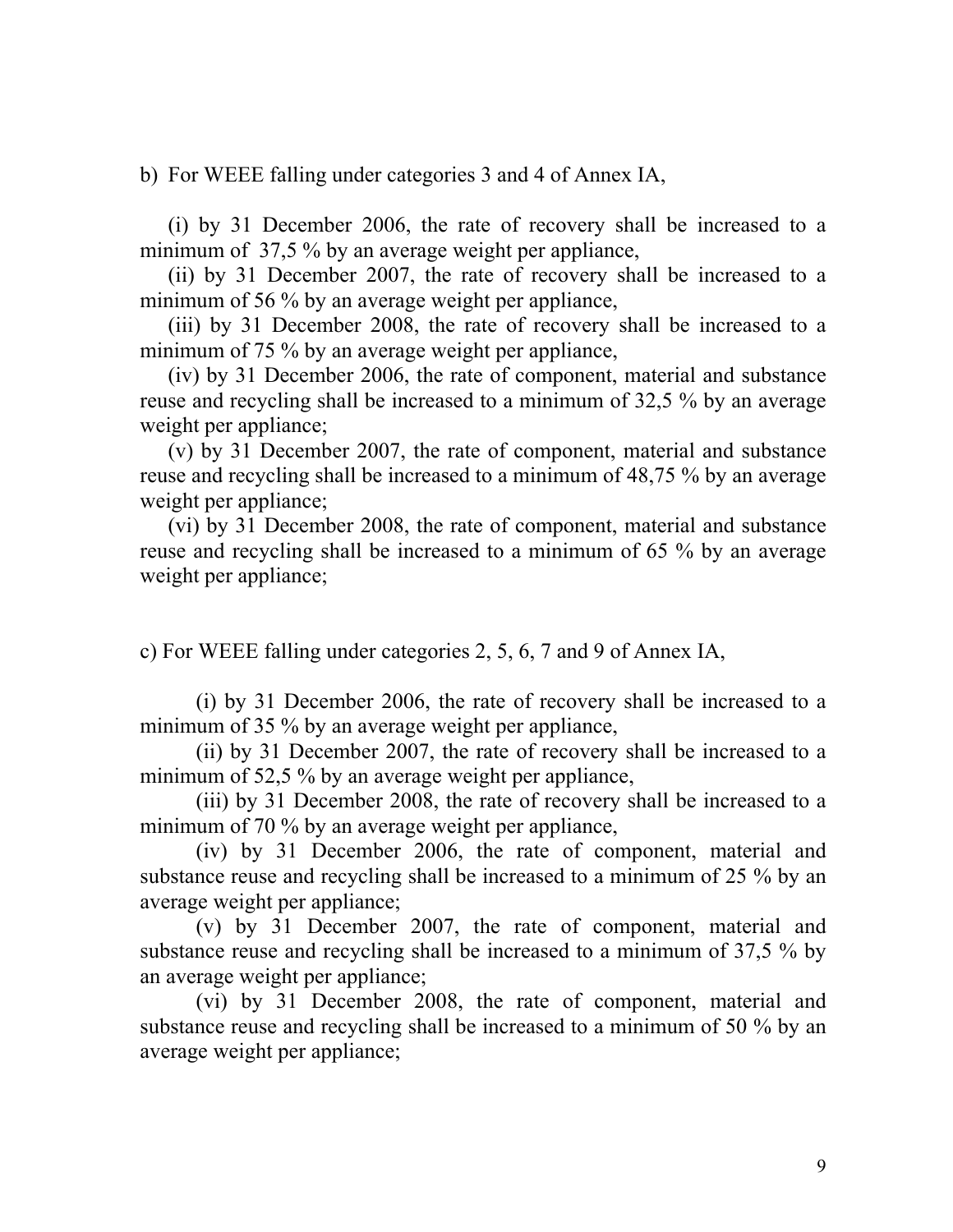b) For WEEE falling under categories 3 and 4 of Annex IA,

(i) by 31 December 2006, the rate of recovery shall be increased to a minimum of 37,5 % by an average weight per appliance,

(ii) by 31 December 2007, the rate of recovery shall be increased to a minimum of 56 % by an average weight per appliance,

(iii) by 31 December 2008, the rate of recovery shall be increased to a minimum of 75 % by an average weight per appliance,

(iv) by 31 December 2006, the rate of component, material and substance reuse and recycling shall be increased to a minimum of 32,5 % by an average weight per appliance;

(v) by 31 December 2007, the rate of component, material and substance reuse and recycling shall be increased to a minimum of 48,75 % by an average weight per appliance;

(vi) by 31 December 2008, the rate of component, material and substance reuse and recycling shall be increased to a minimum of 65 % by an average weight per appliance;

c) For WEEE falling under categories 2, 5, 6, 7 and 9 of Annex IA,

(i) by 31 December 2006, the rate of recovery shall be increased to a minimum of 35 % by an average weight per appliance,

(ii) by 31 December 2007, the rate of recovery shall be increased to a minimum of 52,5 % by an average weight per appliance,

(iii) by 31 December 2008, the rate of recovery shall be increased to a minimum of 70 % by an average weight per appliance,

(iv) by 31 December 2006, the rate of component, material and substance reuse and recycling shall be increased to a minimum of 25 % by an average weight per appliance;

(v) by 31 December 2007, the rate of component, material and substance reuse and recycling shall be increased to a minimum of 37,5 % by an average weight per appliance;

(vi) by 31 December 2008, the rate of component, material and substance reuse and recycling shall be increased to a minimum of 50 % by an average weight per appliance;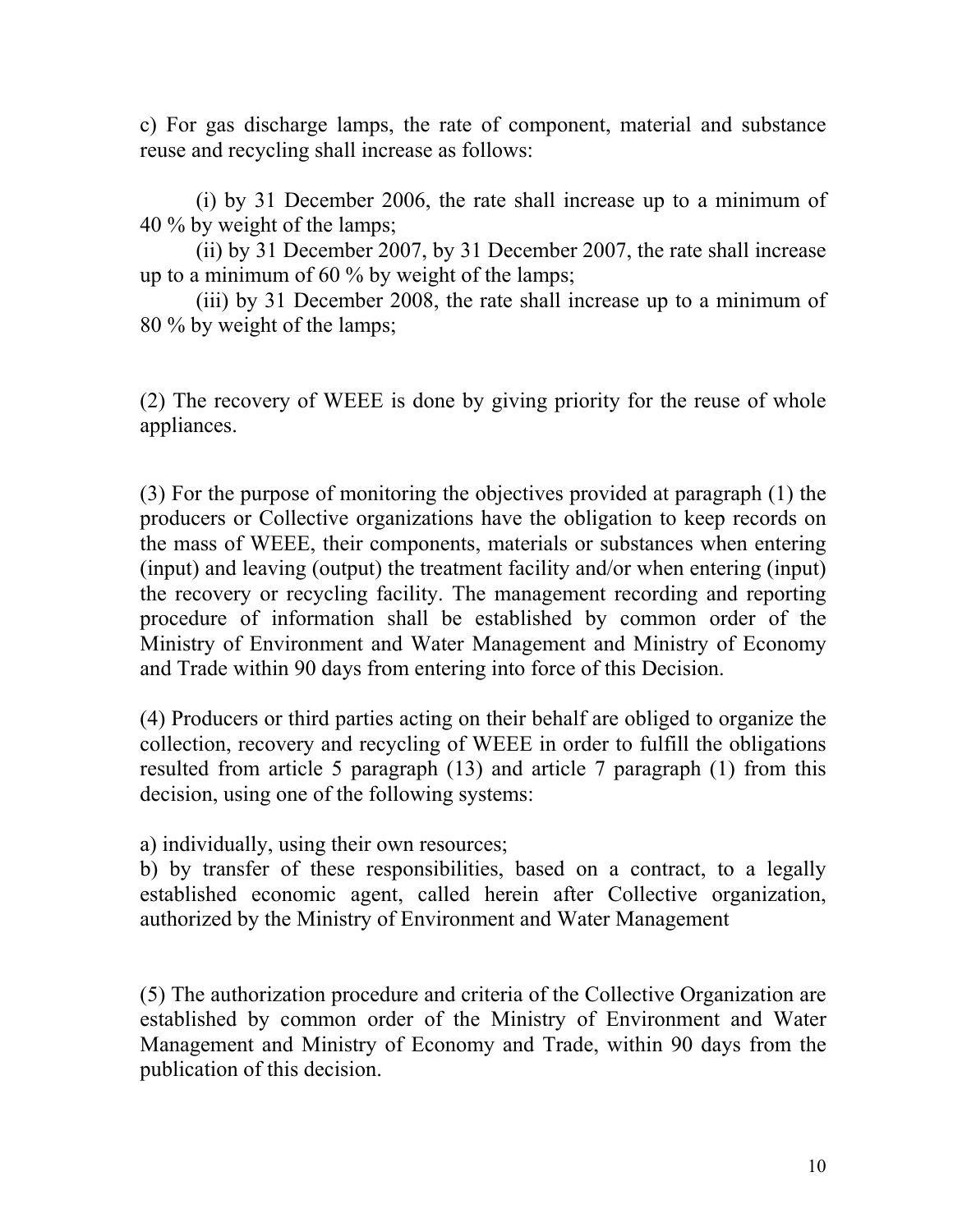c) For gas discharge lamps, the rate of component, material and substance reuse and recycling shall increase as follows:

(i) by 31 December 2006, the rate shall increase up to a minimum of 40 % by weight of the lamps;

(ii) by 31 December 2007, by 31 December 2007, the rate shall increase up to a minimum of 60 % by weight of the lamps;

(iii) by 31 December 2008, the rate shall increase up to a minimum of 80 % by weight of the lamps;

(2) The recovery of WEEE is done by giving priority for the reuse of whole appliances.

(3) For the purpose of monitoring the objectives provided at paragraph (1) the producers or Collective organizations have the obligation to keep records on the mass of WEEE, their components, materials or substances when entering (input) and leaving (output) the treatment facility and/or when entering (input) the recovery or recycling facility. The management recording and reporting procedure of information shall be established by common order of the Ministry of Environment and Water Management and Ministry of Economy and Trade within 90 days from entering into force of this Decision.

(4) Producers or third parties acting on their behalf are obliged to organize the collection, recovery and recycling of WEEE in order to fulfill the obligations resulted from article 5 paragraph (13) and article 7 paragraph (1) from this decision, using one of the following systems:

a) individually, using their own resources;

b) by transfer of these responsibilities, based on a contract, to a legally established economic agent, called herein after Collective organization, authorized by the Ministry of Environment and Water Management

(5) The authorization procedure and criteria of the Collective Organization are established by common order of the Ministry of Environment and Water Management and Ministry of Economy and Trade, within 90 days from the publication of this decision.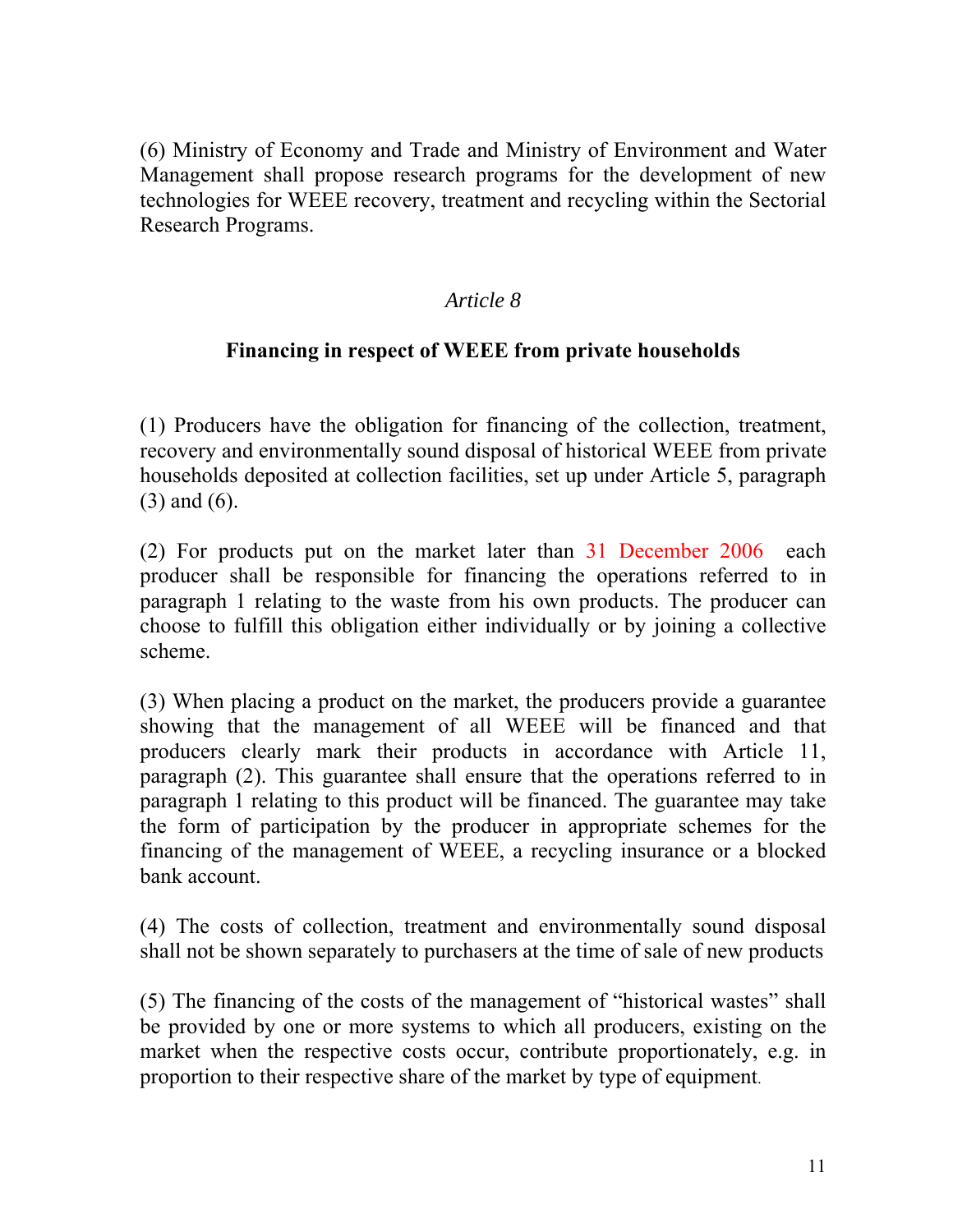(6) Ministry of Economy and Trade and Ministry of Environment and Water Management shall propose research programs for the development of new technologies for WEEE recovery, treatment and recycling within the Sectorial Research Programs.

### *Article 8*

## **Financing in respect of WEEE from private households**

(1) Producers have the obligation for financing of the collection, treatment, recovery and environmentally sound disposal of historical WEEE from private households deposited at collection facilities, set up under Article 5, paragraph (3) and (6).

(2) For products put on the market later than 31 December 2006 each producer shall be responsible for financing the operations referred to in paragraph 1 relating to the waste from his own products. The producer can choose to fulfill this obligation either individually or by joining a collective scheme.

(3) When placing a product on the market, the producers provide a guarantee showing that the management of all WEEE will be financed and that producers clearly mark their products in accordance with Article 11, paragraph (2). This guarantee shall ensure that the operations referred to in paragraph 1 relating to this product will be financed. The guarantee may take the form of participation by the producer in appropriate schemes for the financing of the management of WEEE, a recycling insurance or a blocked bank account.

(4) The costs of collection, treatment and environmentally sound disposal shall not be shown separately to purchasers at the time of sale of new products

(5) The financing of the costs of the management of "historical wastes" shall be provided by one or more systems to which all producers, existing on the market when the respective costs occur, contribute proportionately, e.g. in proportion to their respective share of the market by type of equipment.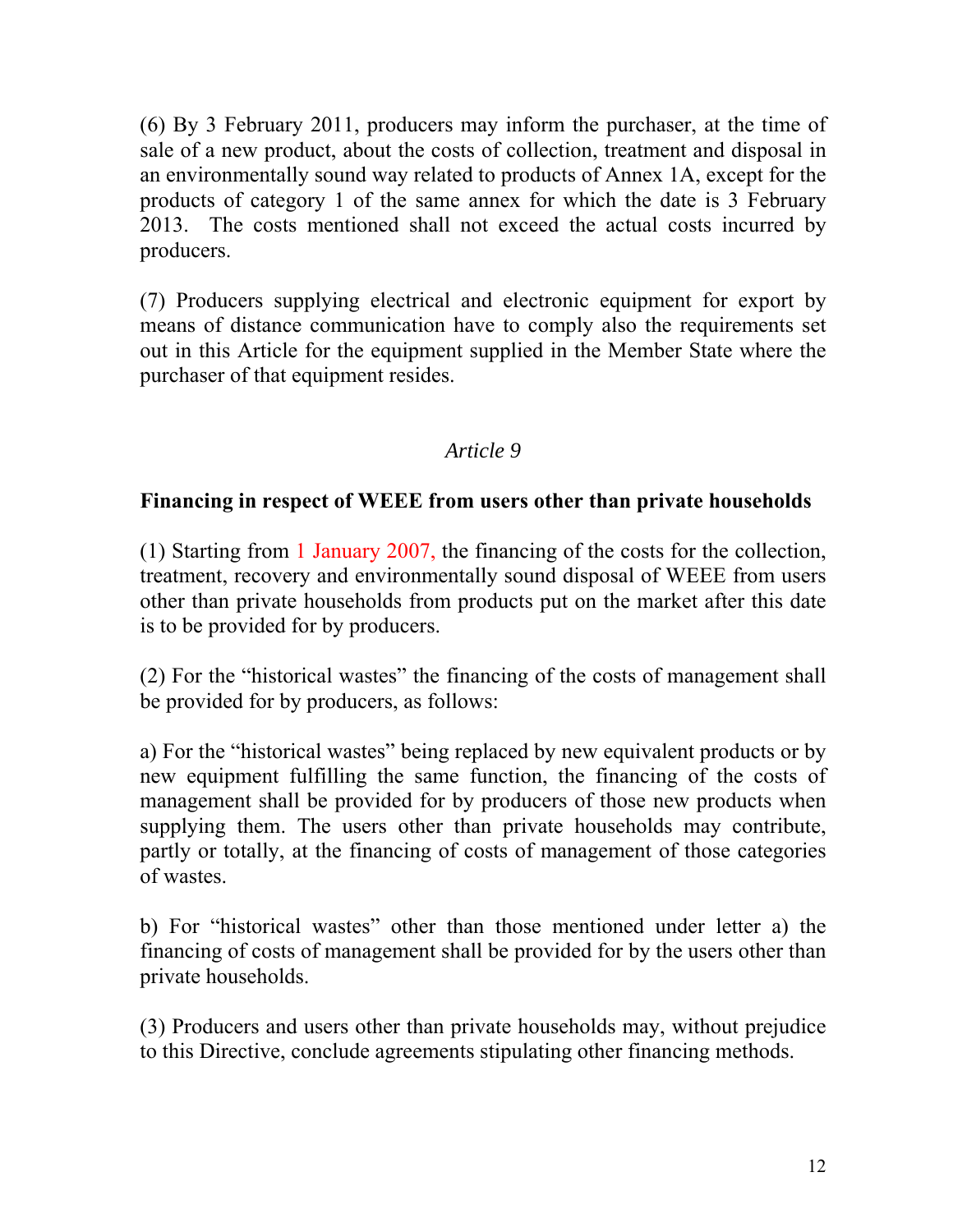(6) By 3 February 2011, producers may inform the purchaser, at the time of sale of a new product, about the costs of collection, treatment and disposal in an environmentally sound way related to products of Annex 1A, except for the products of category 1 of the same annex for which the date is 3 February 2013. The costs mentioned shall not exceed the actual costs incurred by producers.

(7) Producers supplying electrical and electronic equipment for export by means of distance communication have to comply also the requirements set out in this Article for the equipment supplied in the Member State where the purchaser of that equipment resides.

## *Article 9*

## **Financing in respect of WEEE from users other than private households**

(1) Starting from 1 January 2007, the financing of the costs for the collection, treatment, recovery and environmentally sound disposal of WEEE from users other than private households from products put on the market after this date is to be provided for by producers.

(2) For the "historical wastes" the financing of the costs of management shall be provided for by producers, as follows:

a) For the "historical wastes" being replaced by new equivalent products or by new equipment fulfilling the same function, the financing of the costs of management shall be provided for by producers of those new products when supplying them. The users other than private households may contribute, partly or totally, at the financing of costs of management of those categories of wastes.

b) For "historical wastes" other than those mentioned under letter a) the financing of costs of management shall be provided for by the users other than private households.

(3) Producers and users other than private households may, without prejudice to this Directive, conclude agreements stipulating other financing methods.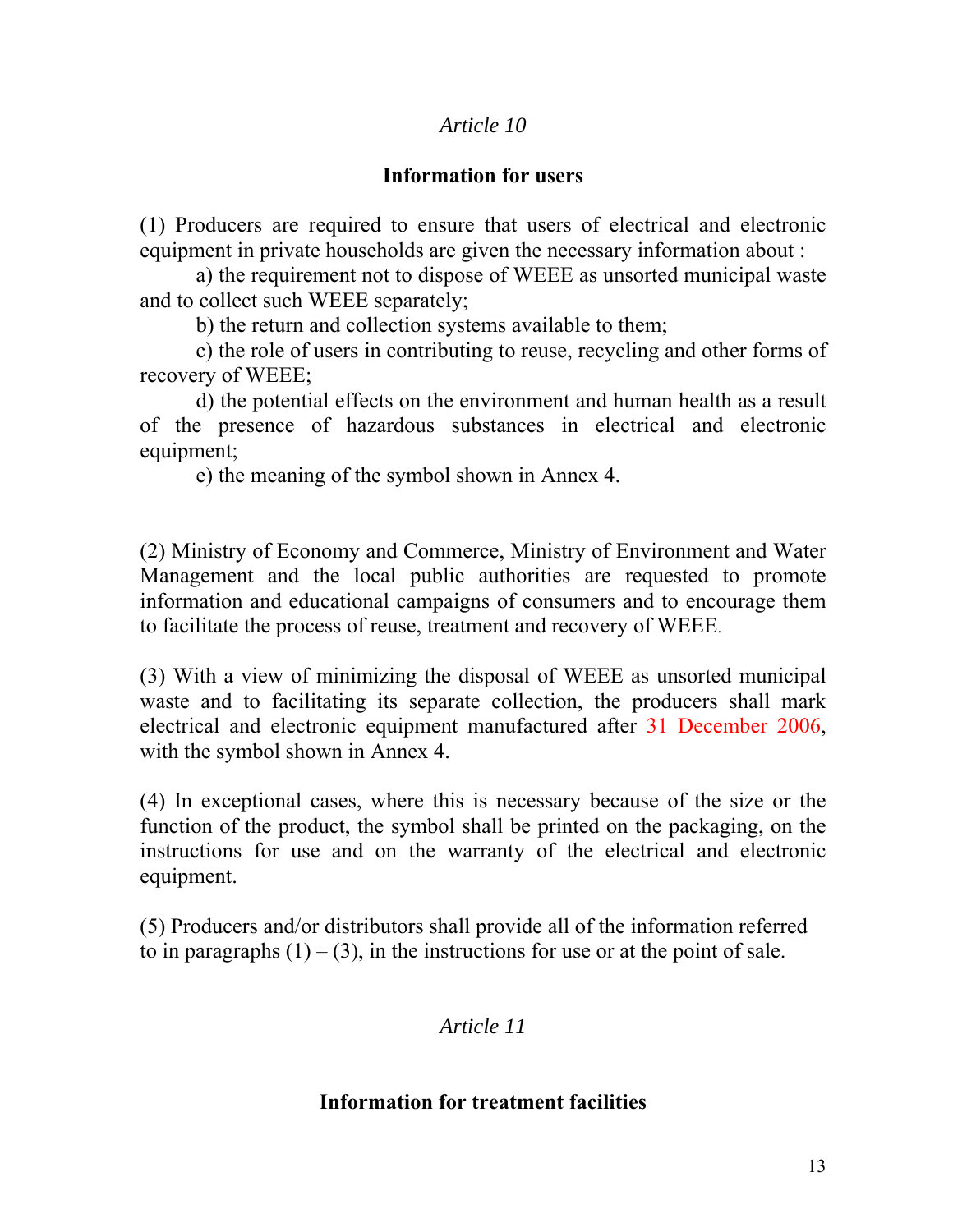### *Article 10*

## **Information for users**

(1) Producers are required to ensure that users of electrical and electronic equipment in private households are given the necessary information about :

a) the requirement not to dispose of WEEE as unsorted municipal waste and to collect such WEEE separately;

b) the return and collection systems available to them;

c) the role of users in contributing to reuse, recycling and other forms of recovery of WEEE;

d) the potential effects on the environment and human health as a result of the presence of hazardous substances in electrical and electronic equipment;

e) the meaning of the symbol shown in Annex 4.

(2) Ministry of Economy and Commerce, Ministry of Environment and Water Management and the local public authorities are requested to promote information and educational campaigns of consumers and to encourage them to facilitate the process of reuse, treatment and recovery of WEEE.

(3) With a view of minimizing the disposal of WEEE as unsorted municipal waste and to facilitating its separate collection, the producers shall mark electrical and electronic equipment manufactured after 31 December 2006, with the symbol shown in Annex 4.

(4) In exceptional cases, where this is necessary because of the size or the function of the product, the symbol shall be printed on the packaging, on the instructions for use and on the warranty of the electrical and electronic equipment.

(5) Producers and/or distributors shall provide all of the information referred to in paragraphs  $(1) - (3)$ , in the instructions for use or at the point of sale.

*Article 11* 

### **Information for treatment facilities**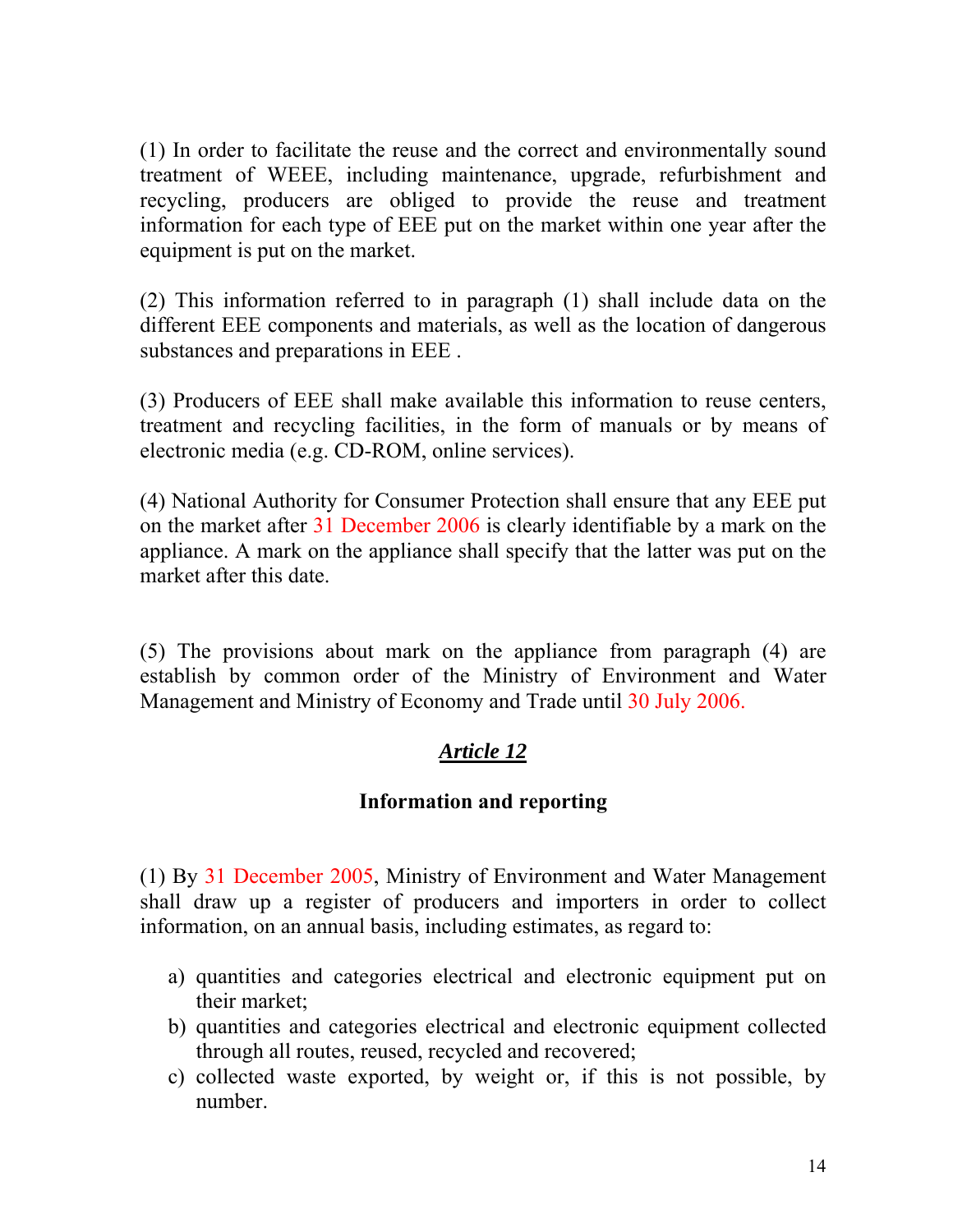(1) In order to facilitate the reuse and the correct and environmentally sound treatment of WEEE, including maintenance, upgrade, refurbishment and recycling, producers are obliged to provide the reuse and treatment information for each type of EEE put on the market within one year after the equipment is put on the market.

(2) This information referred to in paragraph (1) shall include data on the different EEE components and materials, as well as the location of dangerous substances and preparations in EEE .

(3) Producers of EEE shall make available this information to reuse centers, treatment and recycling facilities, in the form of manuals or by means of electronic media (e.g. CD-ROM, online services).

(4) National Authority for Consumer Protection shall ensure that any EEE put on the market after 31 December 2006 is clearly identifiable by a mark on the appliance. A mark on the appliance shall specify that the latter was put on the market after this date.

(5) The provisions about mark on the appliance from paragraph (4) are establish by common order of the Ministry of Environment and Water Management and Ministry of Economy and Trade until 30 July 2006.

# *Article 12*

## **Information and reporting**

(1) By 31 December 2005, Ministry of Environment and Water Management shall draw up a register of producers and importers in order to collect information, on an annual basis, including estimates, as regard to:

- a) quantities and categories electrical and electronic equipment put on their market;
- b) quantities and categories electrical and electronic equipment collected through all routes, reused, recycled and recovered;
- c) collected waste exported, by weight or, if this is not possible, by number.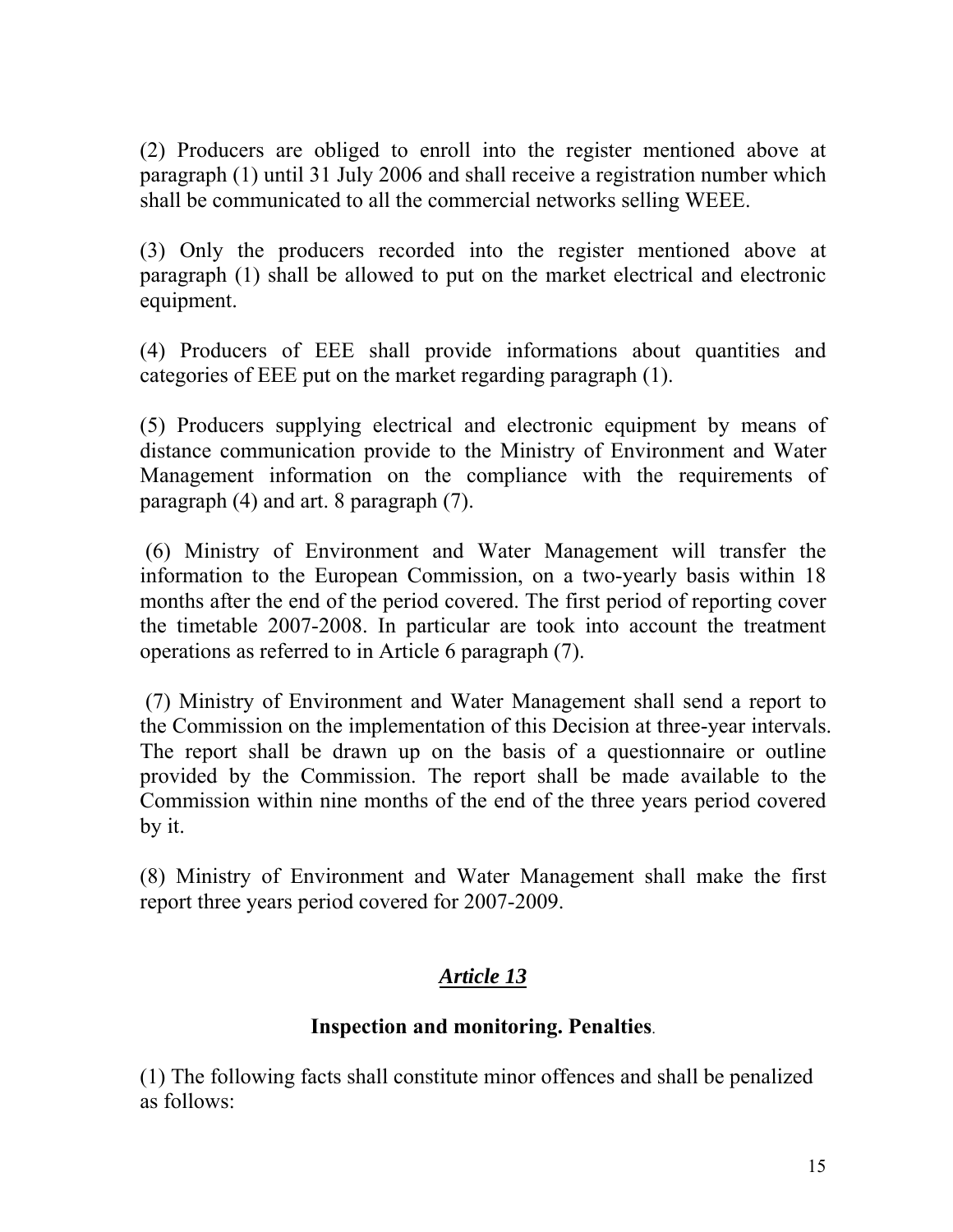(2) Producers are obliged to enroll into the register mentioned above at paragraph (1) until 31 July 2006 and shall receive a registration number which shall be communicated to all the commercial networks selling WEEE.

(3) Only the producers recorded into the register mentioned above at paragraph (1) shall be allowed to put on the market electrical and electronic equipment.

(4) Producers of EEE shall provide informations about quantities and categories of EEE put on the market regarding paragraph (1).

(5) Producers supplying electrical and electronic equipment by means of distance communication provide to the Ministry of Environment and Water Management information on the compliance with the requirements of paragraph (4) and art. 8 paragraph (7).

 (6) Ministry of Environment and Water Management will transfer the information to the European Commission, on a two-yearly basis within 18 months after the end of the period covered. The first period of reporting cover the timetable 2007-2008. In particular are took into account the treatment operations as referred to in Article 6 paragraph (7).

 (7) Ministry of Environment and Water Management shall send a report to the Commission on the implementation of this Decision at three-year intervals. The report shall be drawn up on the basis of a questionnaire or outline provided by the Commission. The report shall be made available to the Commission within nine months of the end of the three years period covered by it.

(8) Ministry of Environment and Water Management shall make the first report three years period covered for 2007-2009.

# *Article 13*

## **Inspection and monitoring. Penalties**.

(1) The following facts shall constitute minor offences and shall be penalized as follows: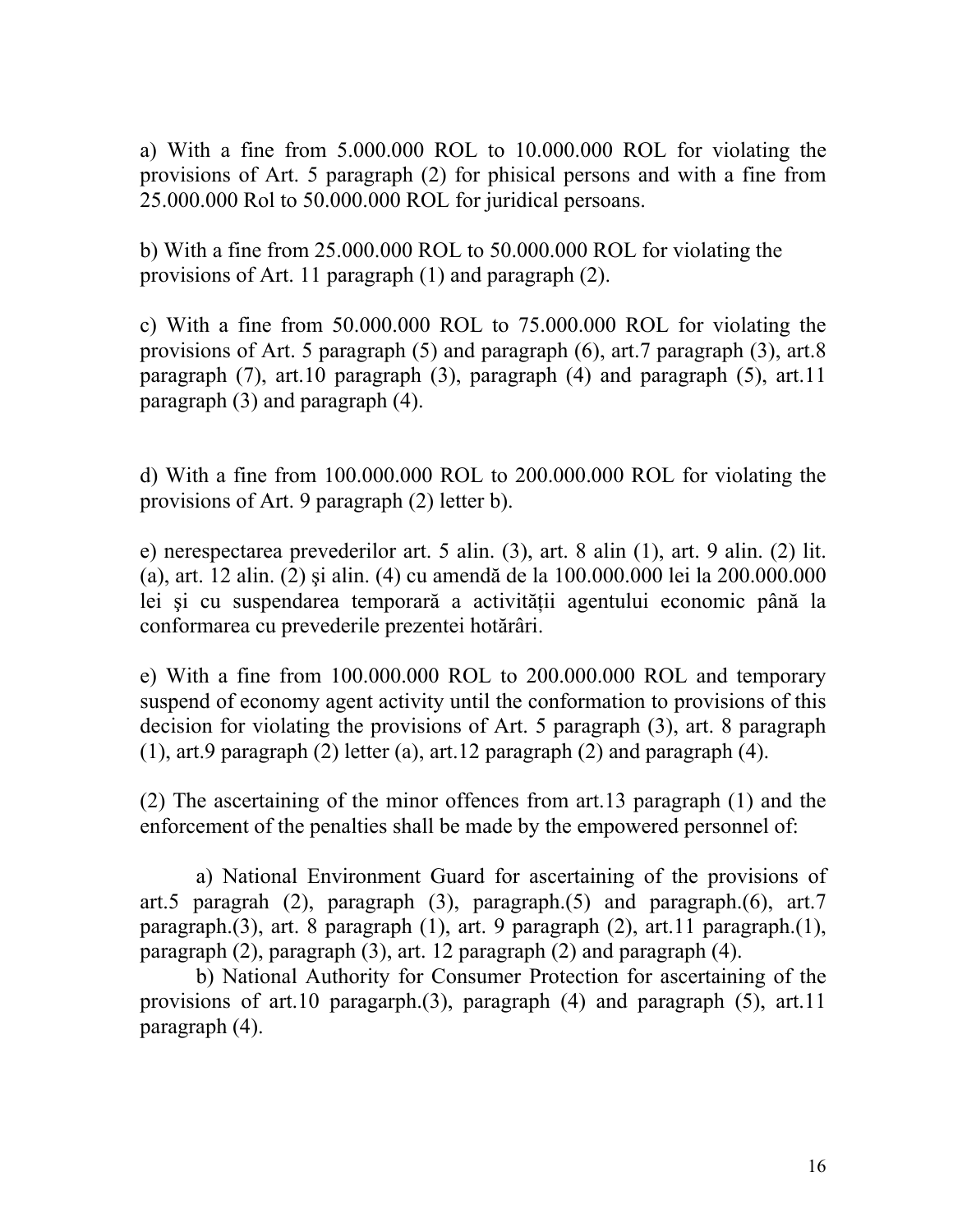a) With a fine from 5.000.000 ROL to 10.000.000 ROL for violating the provisions of Art. 5 paragraph (2) for phisical persons and with a fine from 25.000.000 Rol to 50.000.000 ROL for juridical persoans.

b) With a fine from 25.000.000 ROL to 50.000.000 ROL for violating the provisions of Art. 11 paragraph (1) and paragraph (2).

c) With a fine from 50.000.000 ROL to 75.000.000 ROL for violating the provisions of Art. 5 paragraph (5) and paragraph (6), art.7 paragraph (3), art.8 paragraph (7), art.10 paragraph (3), paragraph (4) and paragraph (5), art.11 paragraph (3) and paragraph (4).

d) With a fine from 100.000.000 ROL to 200.000.000 ROL for violating the provisions of Art. 9 paragraph (2) letter b).

e) nerespectarea prevederilor art. 5 alin. (3), art. 8 alin (1), art. 9 alin. (2) lit. (a), art. 12 alin. (2) şi alin. (4) cu amendă de la 100.000.000 lei la 200.000.000 lei și cu suspendarea temporară a activității agentului economic până la conformarea cu prevederile prezentei hotărâri.

e) With a fine from 100.000.000 ROL to 200.000.000 ROL and temporary suspend of economy agent activity until the conformation to provisions of this decision for violating the provisions of Art. 5 paragraph (3), art. 8 paragraph (1), art.9 paragraph (2) letter (a), art.12 paragraph (2) and paragraph (4).

(2) The ascertaining of the minor offences from art.13 paragraph (1) and the enforcement of the penalties shall be made by the empowered personnel of:

 a) National Environment Guard for ascertaining of the provisions of art.5 paragrah (2), paragraph (3), paragraph.(5) and paragraph.(6), art.7 paragraph.(3), art. 8 paragraph (1), art. 9 paragraph (2), art.11 paragraph.(1), paragraph (2), paragraph (3), art. 12 paragraph (2) and paragraph (4).

 b) National Authority for Consumer Protection for ascertaining of the provisions of art.10 paragarph.(3), paragraph (4) and paragraph (5), art.11 paragraph (4).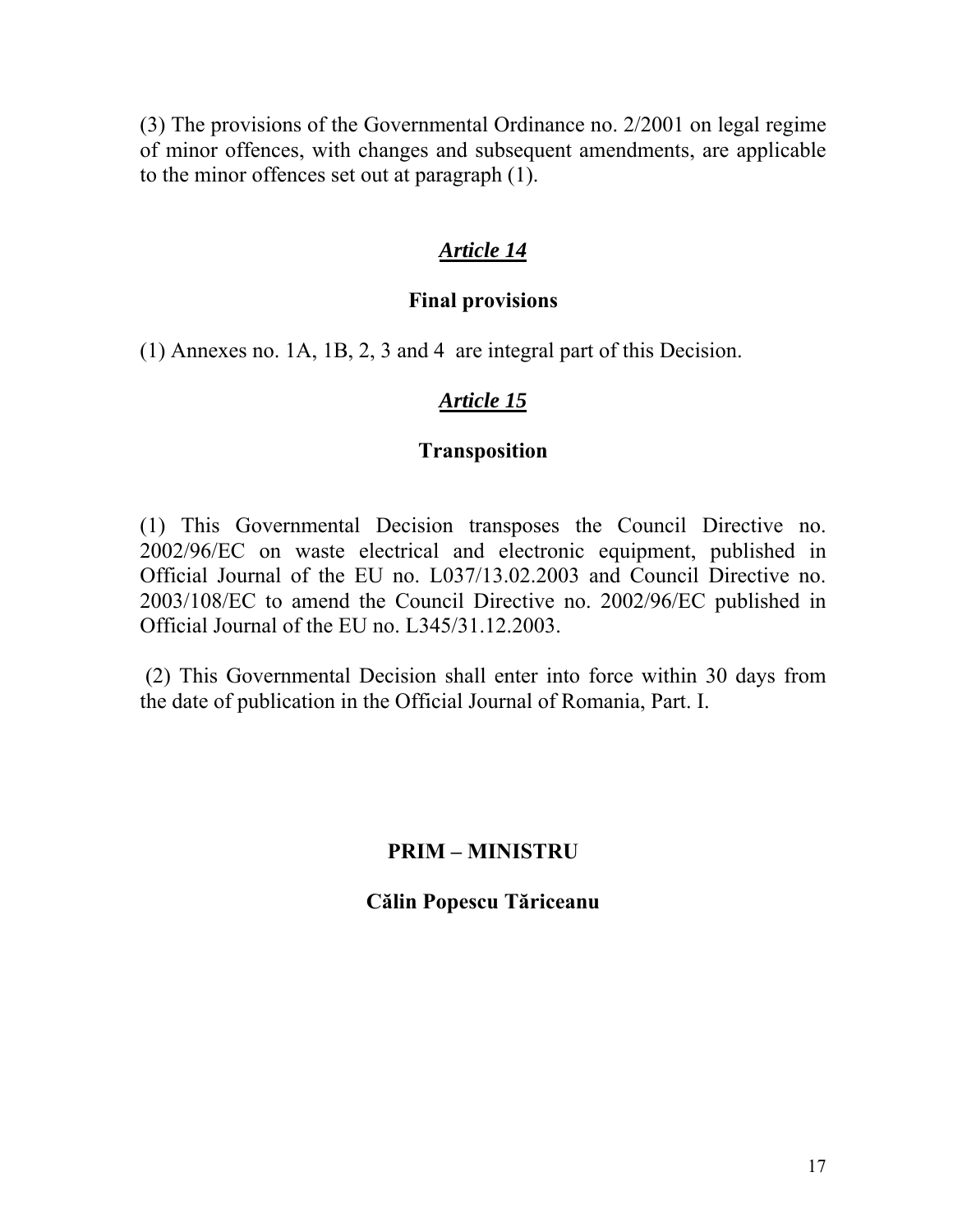(3) The provisions of the Governmental Ordinance no. 2/2001 on legal regime of minor offences, with changes and subsequent amendments, are applicable to the minor offences set out at paragraph (1).

# *Article 14*

### **Final provisions**

(1) Annexes no. 1A, 1B, 2, 3 and 4 are integral part of this Decision.

## *Article 15*

### **Transposition**

(1) This Governmental Decision transposes the Council Directive no. 2002/96/EC on waste electrical and electronic equipment, published in Official Journal of the EU no. L037/13.02.2003 and Council Directive no. 2003/108/EC to amend the Council Directive no. 2002/96/EC published in Official Journal of the EU no. L345/31.12.2003.

 (2) This Governmental Decision shall enter into force within 30 days from the date of publication in the Official Journal of Romania, Part. I.

# **PRIM – MINISTRU**

**Călin Popescu Tăriceanu**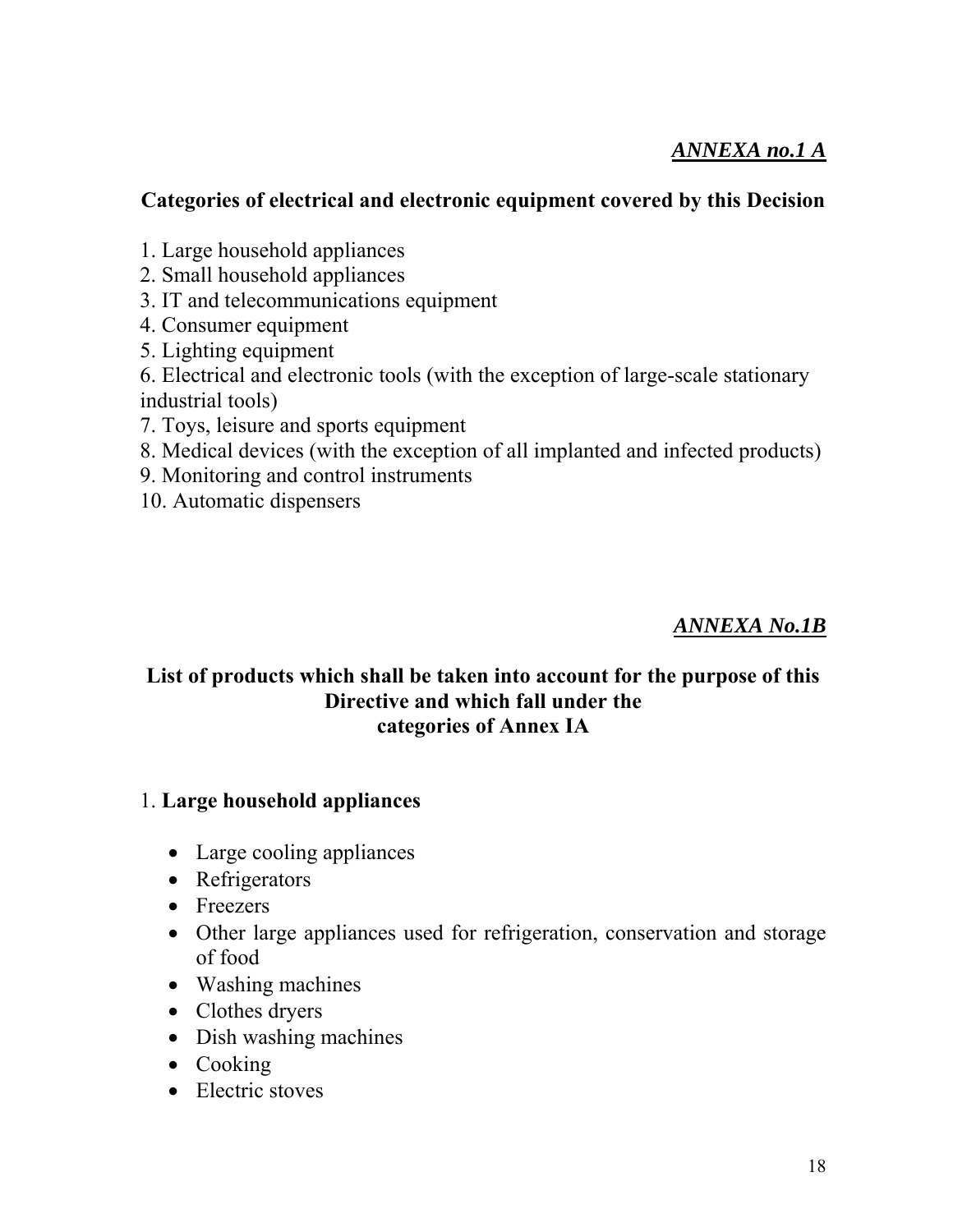# *ANNEXA no.1 A*

## **Categories of electrical and electronic equipment covered by this Decision**

- 1. Large household appliances
- 2. Small household appliances
- 3. IT and telecommunications equipment
- 4. Consumer equipment
- 5. Lighting equipment
- 6. Electrical and electronic tools (with the exception of large-scale stationary industrial tools)
- 7. Toys, leisure and sports equipment
- 8. Medical devices (with the exception of all implanted and infected products)
- 9. Monitoring and control instruments
- 10. Automatic dispensers

## *ANNEXA No.1B*

### **List of products which shall be taken into account for the purpose of this Directive and which fall under the categories of Annex IA**

### 1. **Large household appliances**

- Large cooling appliances
- Refrigerators
- Freezers
- Other large appliances used for refrigeration, conservation and storage of food
- Washing machines
- Clothes dryers
- Dish washing machines
- Cooking
- Electric stoves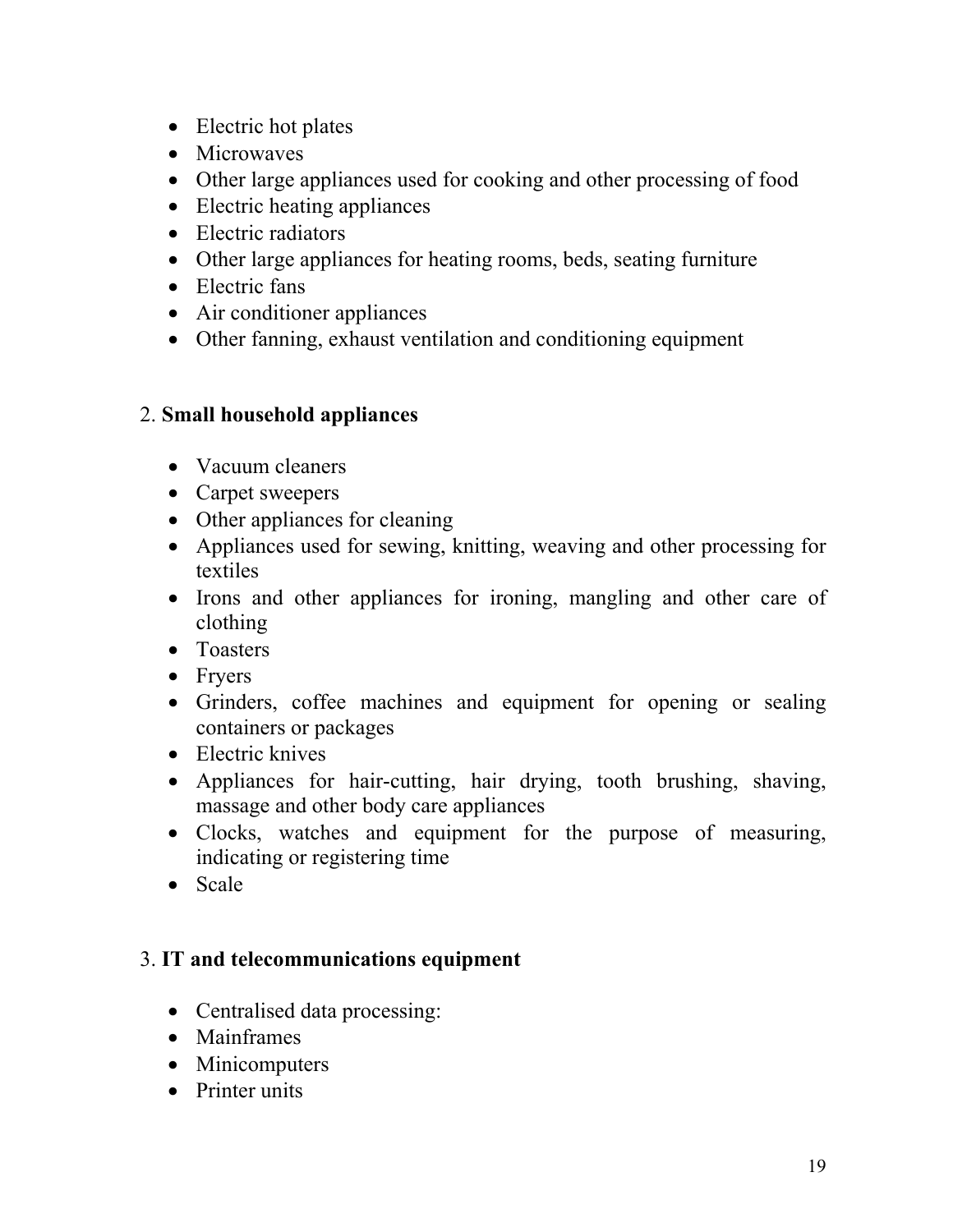- Electric hot plates
- Microwaves
- Other large appliances used for cooking and other processing of food
- Electric heating appliances
- Electric radiators
- Other large appliances for heating rooms, beds, seating furniture
- Electric fans
- Air conditioner appliances
- Other fanning, exhaust ventilation and conditioning equipment

## 2. **Small household appliances**

- Vacuum cleaners
- Carpet sweepers
- Other appliances for cleaning
- Appliances used for sewing, knitting, weaving and other processing for textiles
- Irons and other appliances for ironing, mangling and other care of clothing
- Toasters
- Fryers
- Grinders, coffee machines and equipment for opening or sealing containers or packages
- Electric knives
- Appliances for hair-cutting, hair drying, tooth brushing, shaving, massage and other body care appliances
- Clocks, watches and equipment for the purpose of measuring, indicating or registering time
- Scale

## 3. **IT and telecommunications equipment**

- Centralised data processing:
- Mainframes
- Minicomputers
- Printer units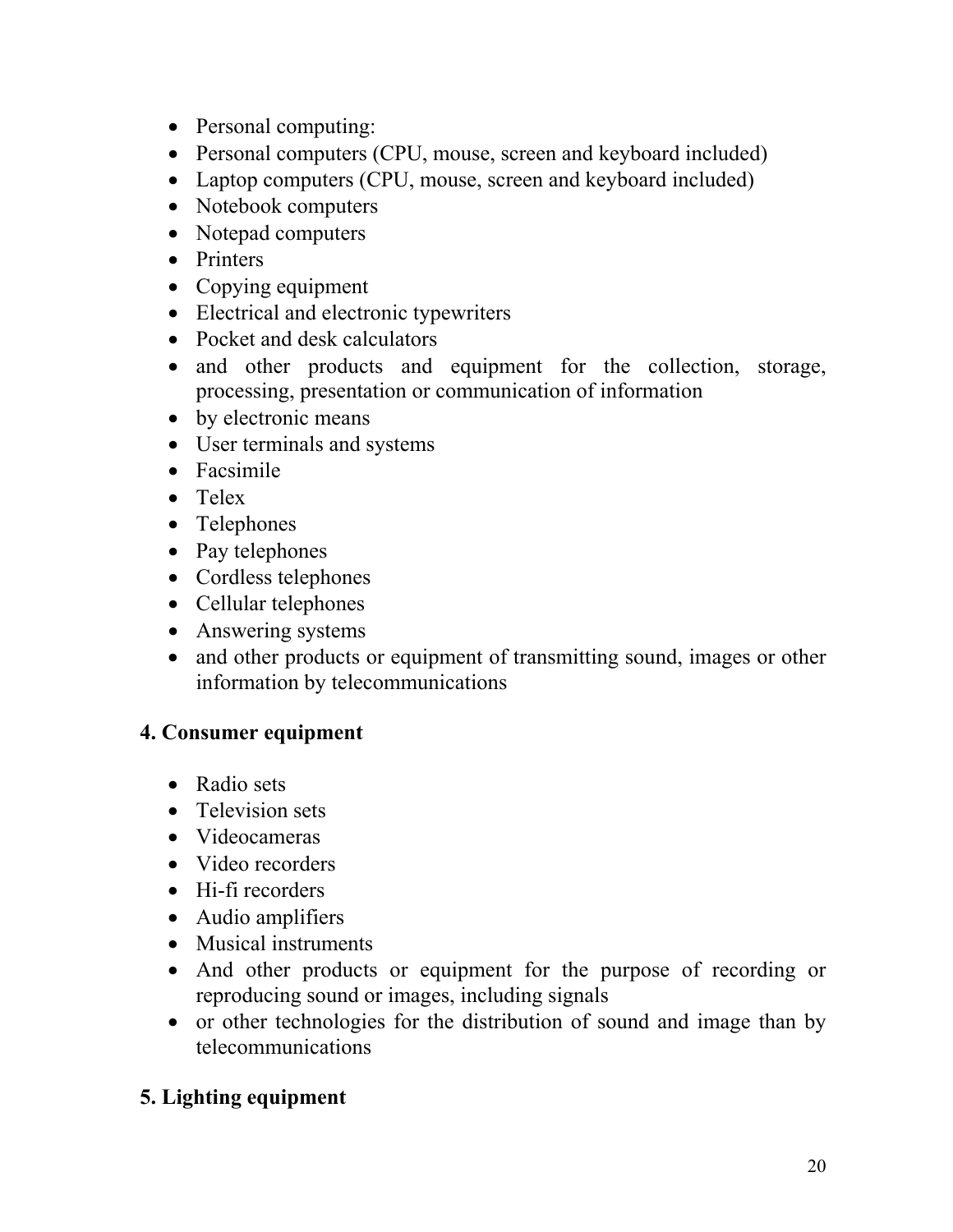- Personal computing:
- Personal computers (CPU, mouse, screen and keyboard included)
- Laptop computers (CPU, mouse, screen and keyboard included)
- Notebook computers
- Notepad computers
- Printers
- Copying equipment
- Electrical and electronic typewriters
- Pocket and desk calculators
- and other products and equipment for the collection, storage, processing, presentation or communication of information
- by electronic means
- User terminals and systems
- Facsimile
- Telex
- Telephones
- Pay telephones
- Cordless telephones
- Cellular telephones
- Answering systems
- and other products or equipment of transmitting sound, images or other information by telecommunications

## **4. Consumer equipment**

- Radio sets
- Television sets
- Videocameras
- Video recorders
- Hi-fi recorders
- Audio amplifiers
- Musical instruments
- And other products or equipment for the purpose of recording or reproducing sound or images, including signals
- or other technologies for the distribution of sound and image than by telecommunications

# **5. Lighting equipment**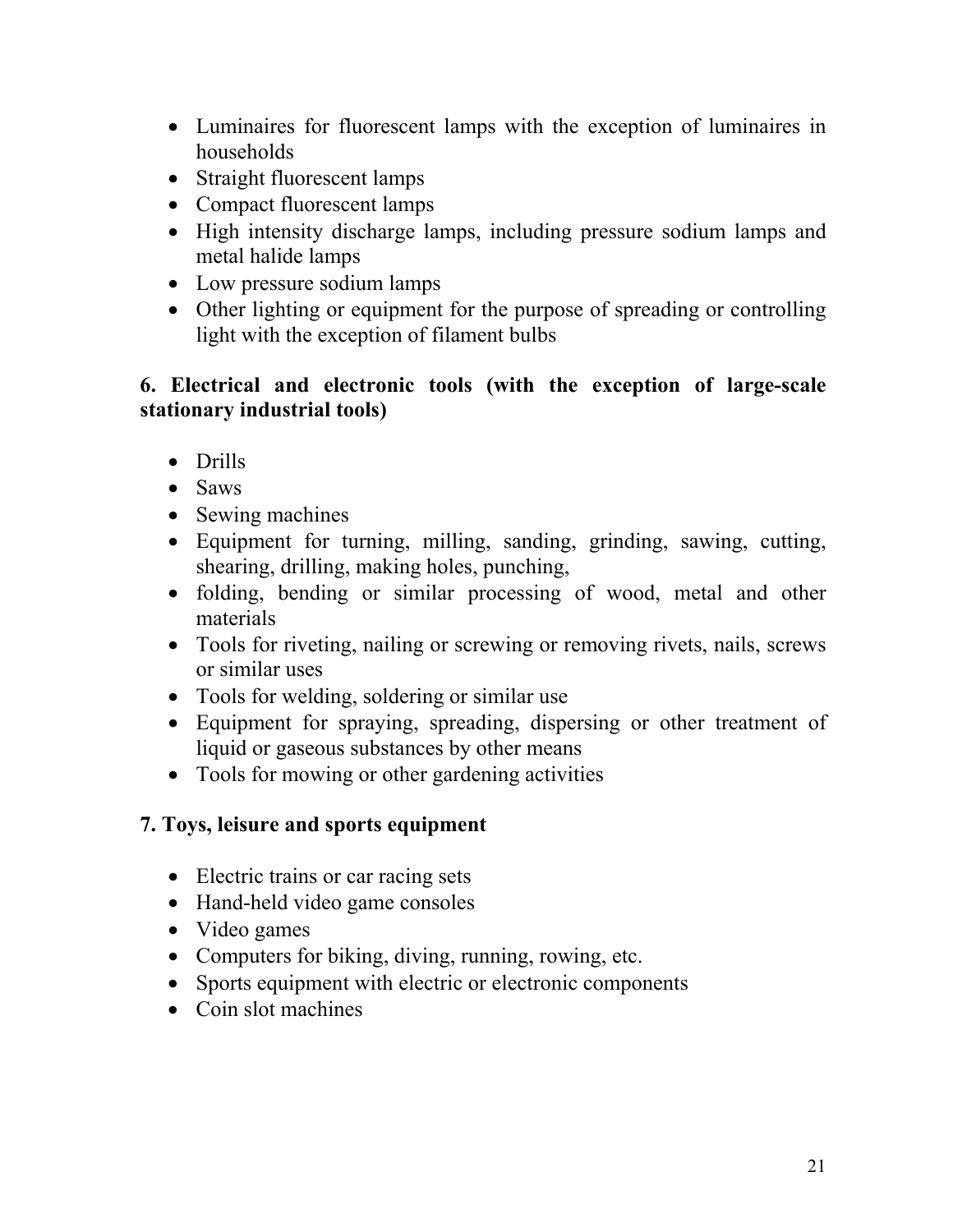- Luminaires for fluorescent lamps with the exception of luminaires in households
- Straight fluorescent lamps
- Compact fluorescent lamps
- High intensity discharge lamps, including pressure sodium lamps and metal halide lamps
- Low pressure sodium lamps
- Other lighting or equipment for the purpose of spreading or controlling light with the exception of filament bulbs

## **6. Electrical and electronic tools (with the exception of large-scale stationary industrial tools)**

- Drills
- Saws
- Sewing machines
- Equipment for turning, milling, sanding, grinding, sawing, cutting, shearing, drilling, making holes, punching,
- folding, bending or similar processing of wood, metal and other materials
- Tools for riveting, nailing or screwing or removing rivets, nails, screws or similar uses
- Tools for welding, soldering or similar use
- Equipment for spraying, spreading, dispersing or other treatment of liquid or gaseous substances by other means
- Tools for mowing or other gardening activities

# **7. Toys, leisure and sports equipment**

- Electric trains or car racing sets
- Hand-held video game consoles
- Video games
- Computers for biking, diving, running, rowing, etc.
- Sports equipment with electric or electronic components
- Coin slot machines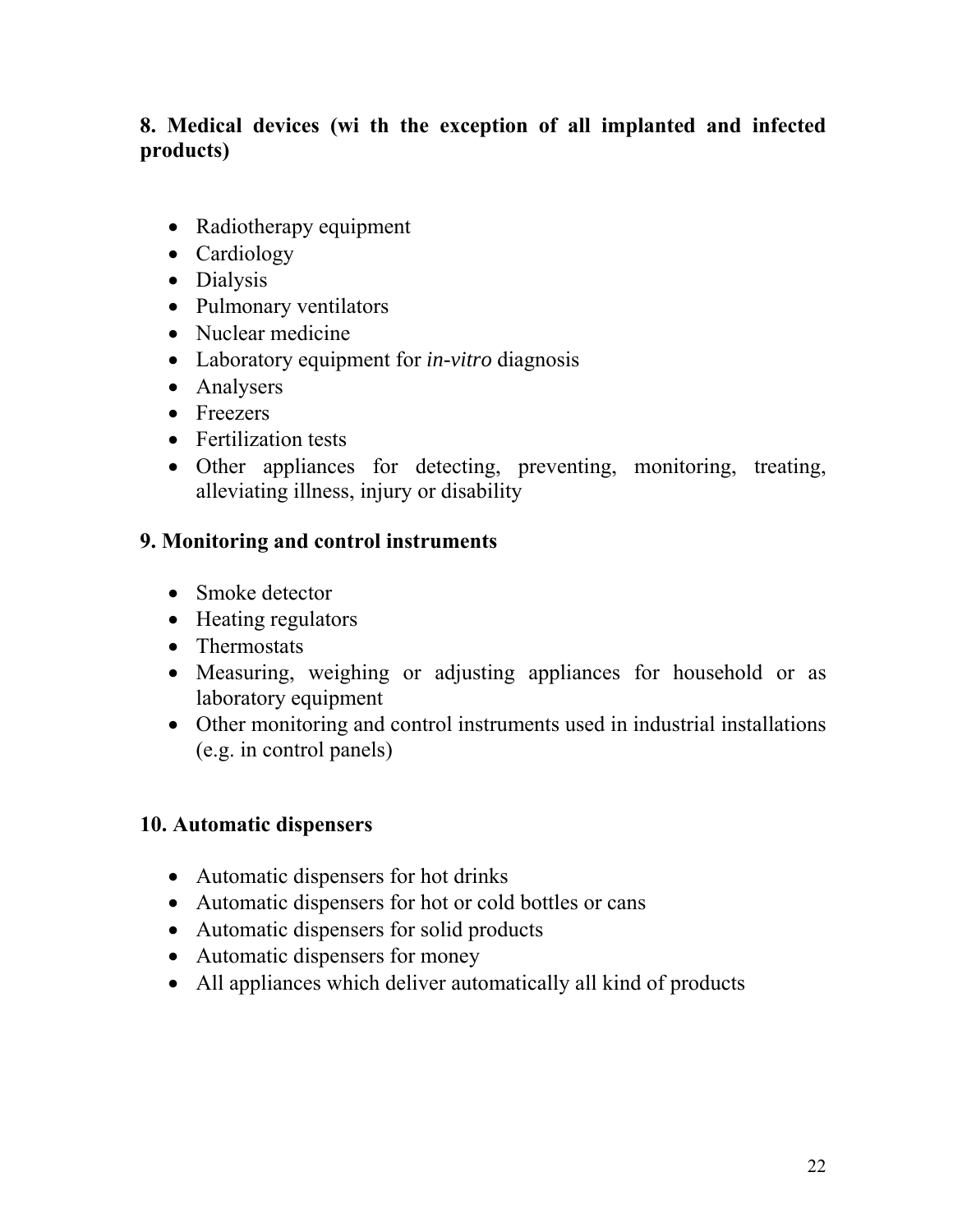# **8. Medical devices (wi th the exception of all implanted and infected products)**

- Radiotherapy equipment
- Cardiology
- Dialysis
- Pulmonary ventilators
- Nuclear medicine
- Laboratory equipment for *in-vitro* diagnosis
- Analysers
- Freezers
- Fertilization tests
- Other appliances for detecting, preventing, monitoring, treating, alleviating illness, injury or disability

## **9. Monitoring and control instruments**

- Smoke detector
- Heating regulators
- Thermostats
- Measuring, weighing or adjusting appliances for household or as laboratory equipment
- Other monitoring and control instruments used in industrial installations (e.g. in control panels)

## **10. Automatic dispensers**

- Automatic dispensers for hot drinks
- Automatic dispensers for hot or cold bottles or cans
- Automatic dispensers for solid products
- Automatic dispensers for money
- All appliances which deliver automatically all kind of products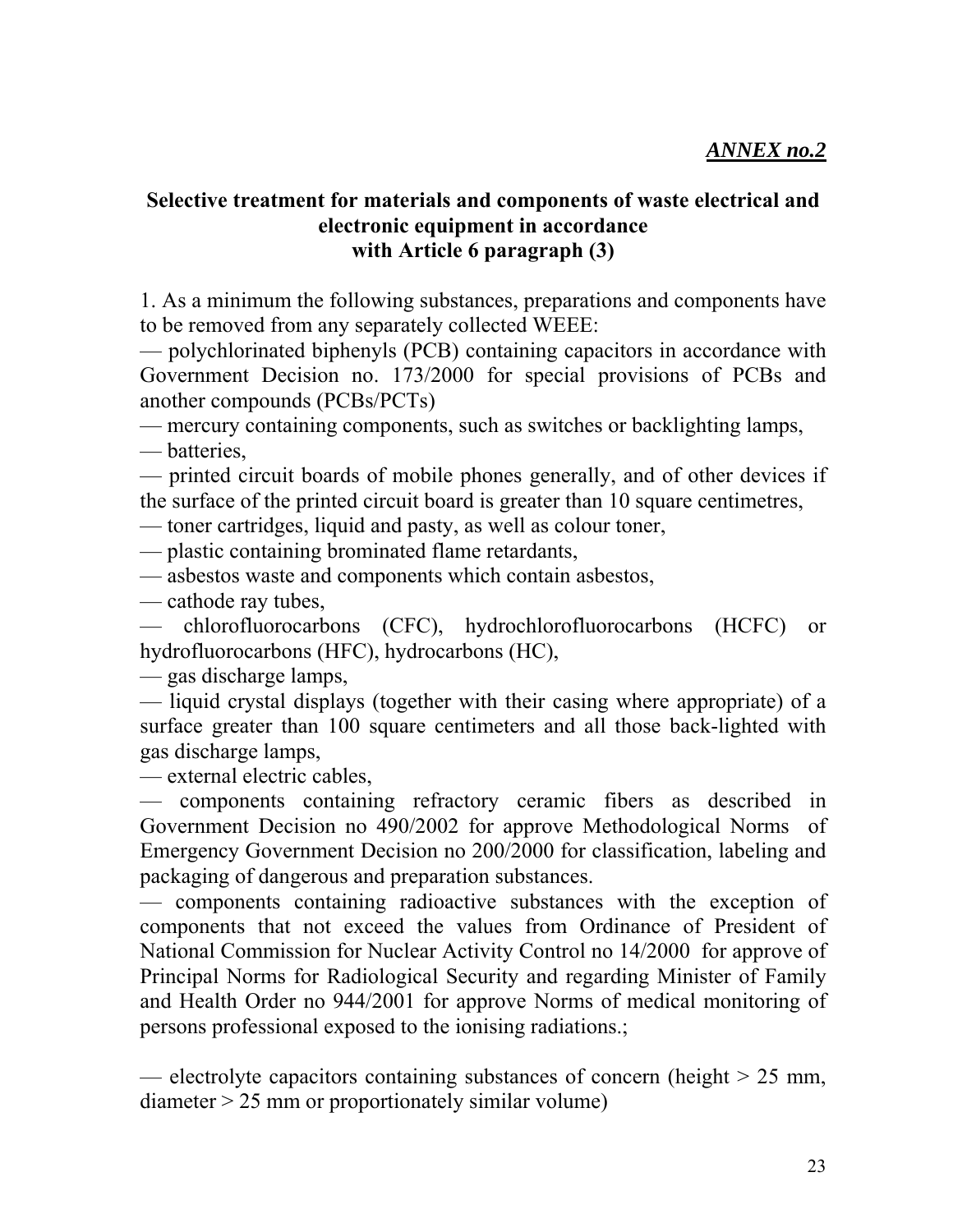## **Selective treatment for materials and components of waste electrical and electronic equipment in accordance with Article 6 paragraph (3)**

1. As a minimum the following substances, preparations and components have to be removed from any separately collected WEEE:

— polychlorinated biphenyls (PCB) containing capacitors in accordance with Government Decision no. 173/2000 for special provisions of PCBs and another compounds (PCBs/PCTs)

— mercury containing components, such as switches or backlighting lamps,

— batteries,

— printed circuit boards of mobile phones generally, and of other devices if the surface of the printed circuit board is greater than 10 square centimetres,

— toner cartridges, liquid and pasty, as well as colour toner,

— plastic containing brominated flame retardants,

— asbestos waste and components which contain asbestos,

— cathode ray tubes,

— chlorofluorocarbons (CFC), hydrochlorofluorocarbons (HCFC) or hydrofluorocarbons (HFC), hydrocarbons (HC),

— gas discharge lamps,

— liquid crystal displays (together with their casing where appropriate) of a surface greater than 100 square centimeters and all those back-lighted with gas discharge lamps,

— external electric cables,

— components containing refractory ceramic fibers as described in Government Decision no 490/2002 for approve Methodological Norms of Emergency Government Decision no 200/2000 for classification, labeling and packaging of dangerous and preparation substances.

— components containing radioactive substances with the exception of components that not exceed the values from Ordinance of President of National Commission for Nuclear Activity Control no 14/2000 for approve of Principal Norms for Radiological Security and regarding Minister of Family and Health Order no 944/2001 for approve Norms of medical monitoring of persons professional exposed to the ionising radiations.;

— electrolyte capacitors containing substances of concern (height  $> 25$  mm, diameter > 25 mm or proportionately similar volume)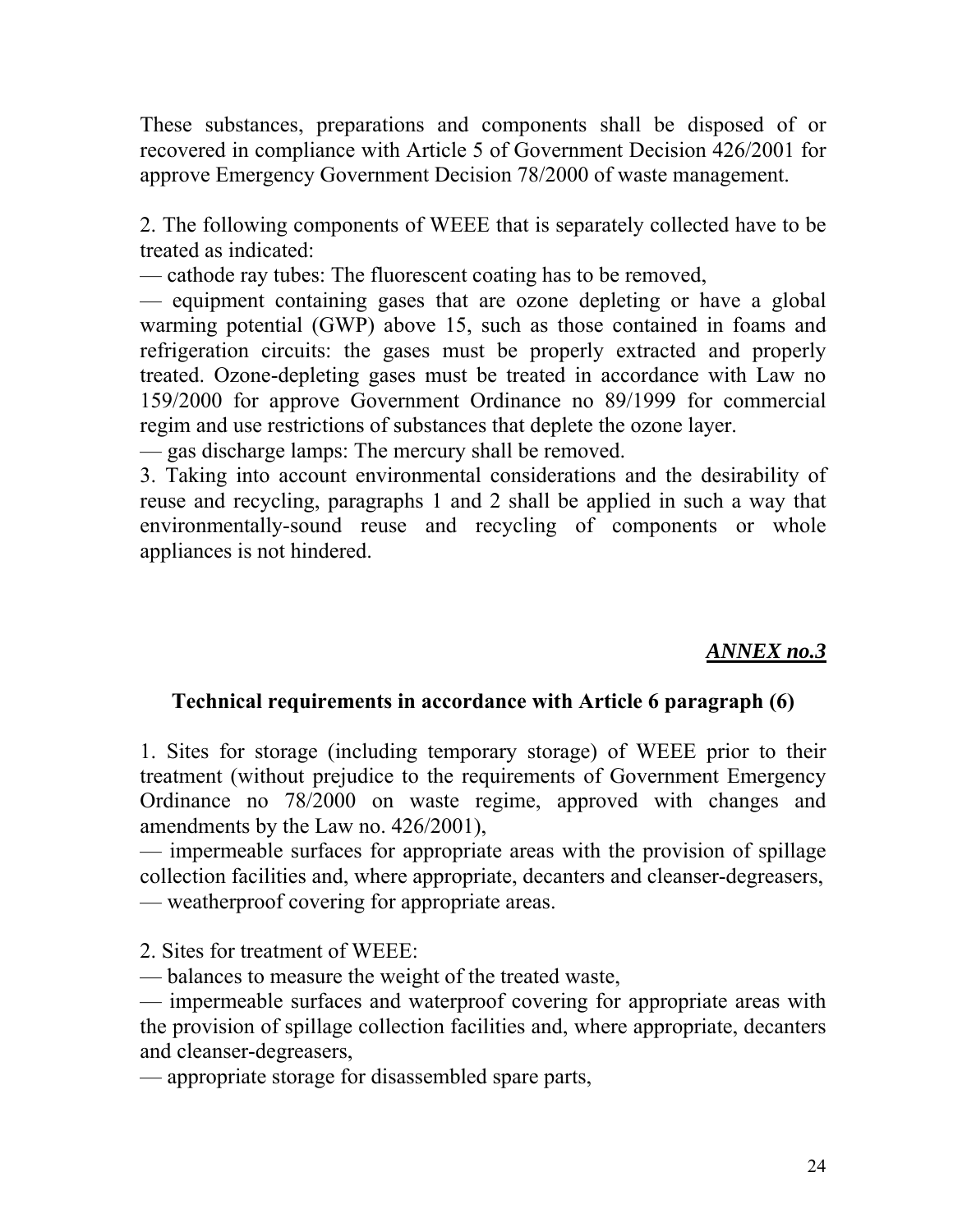These substances, preparations and components shall be disposed of or recovered in compliance with Article 5 of Government Decision 426/2001 for approve Emergency Government Decision 78/2000 of waste management.

2. The following components of WEEE that is separately collected have to be treated as indicated:

— cathode ray tubes: The fluorescent coating has to be removed,

— equipment containing gases that are ozone depleting or have a global warming potential (GWP) above 15, such as those contained in foams and refrigeration circuits: the gases must be properly extracted and properly treated. Ozone-depleting gases must be treated in accordance with Law no 159/2000 for approve Government Ordinance no 89/1999 for commercial regim and use restrictions of substances that deplete the ozone layer.

— gas discharge lamps: The mercury shall be removed.

3. Taking into account environmental considerations and the desirability of reuse and recycling, paragraphs 1 and 2 shall be applied in such a way that environmentally-sound reuse and recycling of components or whole appliances is not hindered.

## *ANNEX no.3*

## **Technical requirements in accordance with Article 6 paragraph (6)**

1. Sites for storage (including temporary storage) of WEEE prior to their treatment (without prejudice to the requirements of Government Emergency Ordinance no 78/2000 on waste regime, approved with changes and amendments by the Law no. 426/2001),

— impermeable surfaces for appropriate areas with the provision of spillage collection facilities and, where appropriate, decanters and cleanser-degreasers, — weatherproof covering for appropriate areas.

2. Sites for treatment of WEEE:

— balances to measure the weight of the treated waste,

— impermeable surfaces and waterproof covering for appropriate areas with the provision of spillage collection facilities and, where appropriate, decanters and cleanser-degreasers,

— appropriate storage for disassembled spare parts,